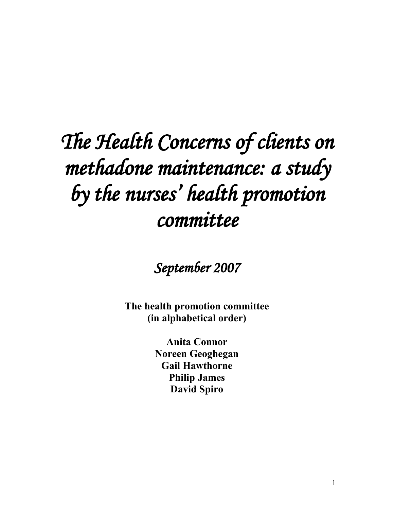# *The Health Concerns of clients on methadone maintenance: a study by the nurses ' health promotion committee*

*September 2007*

**The health promotion committee (in alphabetical order)**

> **Anita Connor Noreen Geoghegan Gail Hawthorne Philip James David Spiro**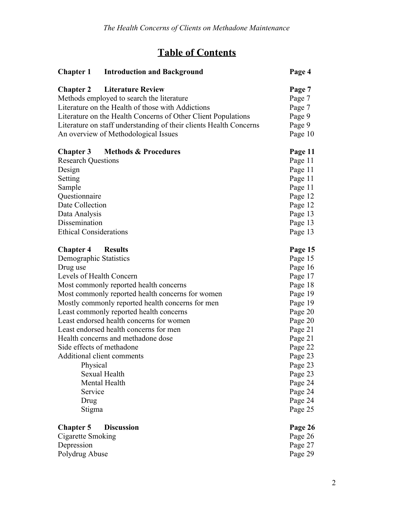## **Table of Contents**

|                               | <b>Chapter 1</b> Introduction and Background                       | Page 4  |
|-------------------------------|--------------------------------------------------------------------|---------|
| <b>Chapter 2</b>              | <b>Literature Review</b>                                           | Page 7  |
|                               | Methods employed to search the literature                          | Page 7  |
|                               | Literature on the Health of those with Addictions                  | Page 7  |
|                               | Literature on the Health Concerns of Other Client Populations      | Page 9  |
|                               | Literature on staff understanding of their clients Health Concerns | Page 9  |
|                               | An overview of Methodological Issues                               | Page 10 |
|                               | <b>Chapter 3</b> Methods & Procedures                              | Page 11 |
| <b>Research Questions</b>     |                                                                    | Page 11 |
| Design                        |                                                                    | Page 11 |
| Setting                       |                                                                    | Page 11 |
| Sample                        |                                                                    | Page 11 |
| Questionnaire                 |                                                                    | Page 12 |
| Date Collection               |                                                                    | Page 12 |
| Data Analysis                 |                                                                    | Page 13 |
| Dissemination                 |                                                                    | Page 13 |
| <b>Ethical Considerations</b> |                                                                    | Page 13 |
| <b>Chapter 4</b> Results      |                                                                    | Page 15 |
| Demographic Statistics        |                                                                    | Page 15 |
| Drug use                      |                                                                    | Page 16 |
| Levels of Health Concern      |                                                                    | Page 17 |
|                               | Most commonly reported health concerns                             | Page 18 |
|                               | Most commonly reported health concerns for women                   | Page 19 |
|                               | Mostly commonly reported health concerns for men                   | Page 19 |
|                               | Least commonly reported health concerns                            | Page 20 |
|                               | Least endorsed health concerns for women                           | Page 20 |
|                               | Least endorsed health concerns for men                             | Page 21 |
|                               | Health concerns and methadone dose                                 | Page 21 |
|                               | Side effects of methadone                                          | Page 22 |
|                               | Additional client comments                                         | Page 23 |
| Physical                      |                                                                    | Page 23 |
|                               | Sexual Health                                                      | Page 23 |
|                               | Mental Health                                                      | Page 24 |
| Service                       |                                                                    | Page 24 |
| Drug                          |                                                                    | Page 24 |
| Stigma                        |                                                                    | Page 25 |
| <b>Chapter 5</b>              | <b>Discussion</b>                                                  | Page 26 |
| Cigarette Smoking             |                                                                    | Page 26 |
| Depression                    |                                                                    | Page 27 |
| Polydrug Abuse                |                                                                    | Page 29 |
|                               |                                                                    |         |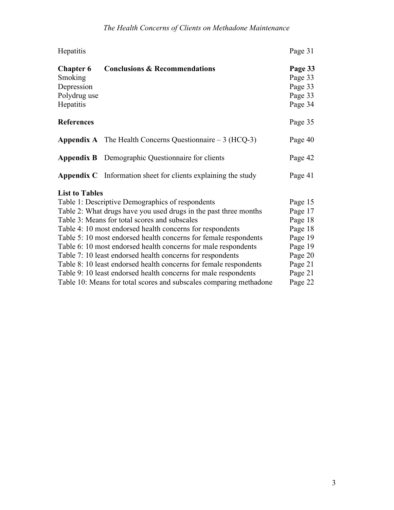| Hepatitis                                                              |                                                                      | Page 31                                             |
|------------------------------------------------------------------------|----------------------------------------------------------------------|-----------------------------------------------------|
| <b>Chapter 6</b><br>Smoking<br>Depression<br>Polydrug use<br>Hepatitis | <b>Conclusions &amp; Recommendations</b>                             | Page 33<br>Page 33<br>Page 33<br>Page 33<br>Page 34 |
| <b>References</b>                                                      |                                                                      | Page 35                                             |
|                                                                        | <b>Appendix A</b> The Health Concerns Questionnaire $-3$ (HCQ-3)     | Page 40                                             |
|                                                                        | <b>Appendix B</b> Demographic Questionnaire for clients              | Page 42                                             |
|                                                                        | <b>Appendix C</b> Information sheet for clients explaining the study | Page 41                                             |
| <b>List to Tables</b>                                                  |                                                                      |                                                     |
|                                                                        | Table 1: Descriptive Demographics of respondents                     | Page 15                                             |
|                                                                        | Table 2: What drugs have you used drugs in the past three months     | Page 17                                             |
|                                                                        | Table 3: Means for total scores and subscales                        | Page 18                                             |
|                                                                        | Table 4: 10 most endorsed health concerns for respondents            | Page 18                                             |
|                                                                        | Table 5: 10 most endorsed health concerns for female respondents     | Page 19                                             |
|                                                                        | Table 6: 10 most endorsed health concerns for male respondents       | Page 19                                             |
|                                                                        | Table 7: 10 least endorsed health concerns for respondents           | Page 20                                             |
|                                                                        | Table 8:10 least endorsed health concerns for female respondents     | Page 21                                             |
|                                                                        | Table 9: 10 least endorsed health concerns for male respondents      | Page 21                                             |
|                                                                        | Table 10: Means for total scores and subscales comparing methadone   | Page 22                                             |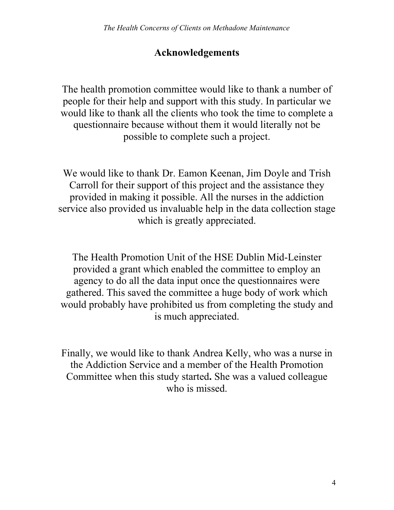## **Acknowledgements**

The health promotion committee would like to thank a number of people for their help and support with this study. In particular we would like to thank all the clients who took the time to complete a questionnaire because without them it would literally not be possible to complete such a project.

We would like to thank Dr. Eamon Keenan, Jim Doyle and Trish Carroll for their support of this project and the assistance they provided in making it possible. All the nurses in the addiction service also provided us invaluable help in the data collection stage which is greatly appreciated.

The Health Promotion Unit of the HSE Dublin Mid-Leinster provided a grant which enabled the committee to employ an agency to do all the data input once the questionnaires were gathered. This saved the committee a huge body of work which would probably have prohibited us from completing the study and is much appreciated.

Finally, we would like to thank Andrea Kelly, who was a nurse in the Addiction Service and a member of the Health Promotion Committee when this study started**.** She was a valued colleague who is missed.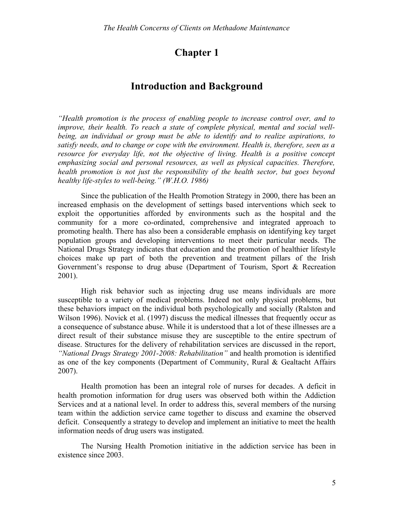## **Chapter 1**

### **Introduction and Background**

*"Health promotion is the process of enabling people to increase control over, and to improve, their health. To reach a state of complete physical, mental and social wellbeing, an individual or group must be able to identify and to realize aspirations, to satisfy needs, and to change or cope with the environment. Health is, therefore, seen as a resource for everyday life, not the objective of living. Health is a positive concept emphasizing social and personal resources, as well as physical capacities. Therefore, health promotion is not just the responsibility of the health sector, but goes beyond healthy life-styles to well-being." (W.H.O. 1986)* 

Since the publication of the Health Promotion Strategy in 2000, there has been an increased emphasis on the development of settings based interventions which seek to exploit the opportunities afforded by environments such as the hospital and the community for a more co-ordinated, comprehensive and integrated approach to promoting health. There has also been a considerable emphasis on identifying key target population groups and developing interventions to meet their particular needs. The National Drugs Strategy indicates that education and the promotion of healthier lifestyle choices make up part of both the prevention and treatment pillars of the Irish Government's response to drug abuse (Department of Tourism, Sport & Recreation 2001).

High risk behavior such as injecting drug use means individuals are more susceptible to a variety of medical problems. Indeed not only physical problems, but these behaviors impact on the individual both psychologically and socially (Ralston and Wilson 1996). Novick et al. (1997) discuss the medical illnesses that frequently occur as a consequence of substance abuse. While it is understood that a lot of these illnesses are a direct result of their substance misuse they are susceptible to the entire spectrum of disease. Structures for the delivery of rehabilitation services are discussed in the report, *"National Drugs Strategy 2001-2008: Rehabilitation"* and health promotion is identified as one of the key components (Department of Community, Rural & Gealtacht Affairs 2007).

Health promotion has been an integral role of nurses for decades. A deficit in health promotion information for drug users was observed both within the Addiction Services and at a national level. In order to address this, several members of the nursing team within the addiction service came together to discuss and examine the observed deficit. Consequently a strategy to develop and implement an initiative to meet the health information needs of drug users was instigated.

The Nursing Health Promotion initiative in the addiction service has been in existence since 2003.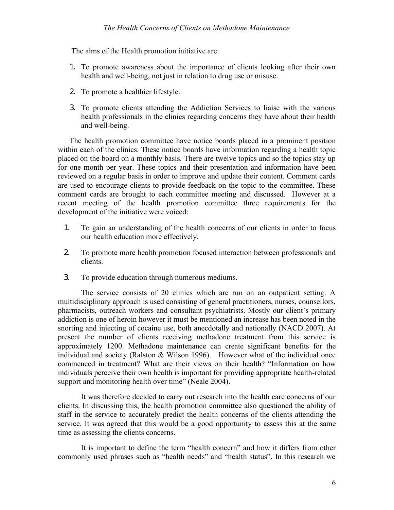The aims of the Health promotion initiative are:

- 1. To promote awareness about the importance of clients looking after their own health and well-being, not just in relation to drug use or misuse.
- 2. To promote a healthier lifestyle.
- 3. To promote clients attending the Addiction Services to liaise with the various health professionals in the clinics regarding concerns they have about their health and well-being.

The health promotion committee have notice boards placed in a prominent position within each of the clinics. These notice boards have information regarding a health topic placed on the board on a monthly basis. There are twelve topics and so the topics stay up for one month per year. These topics and their presentation and information have been reviewed on a regular basis in order to improve and update their content. Comment cards are used to encourage clients to provide feedback on the topic to the committee. These comment cards are brought to each committee meeting and discussed. However at a recent meeting of the health promotion committee three requirements for the development of the initiative were voiced:

- 1. To gain an understanding of the health concerns of our clients in order to focus our health education more effectively.
- 2. To promote more health promotion focused interaction between professionals and clients.
- 3. To provide education through numerous mediums.

The service consists of 20 clinics which are run on an outpatient setting. A multidisciplinary approach is used consisting of general practitioners, nurses, counsellors, pharmacists, outreach workers and consultant psychiatrists. Mostly our client's primary addiction is one of heroin however it must be mentioned an increase has been noted in the snorting and injecting of cocaine use, both anecdotally and nationally (NACD 2007). At present the number of clients receiving methadone treatment from this service is approximately 1200. Methadone maintenance can create significant benefits for the individual and society (Ralston & Wilson 1996). However what of the individual once commenced in treatment? What are their views on their health? "Information on how individuals perceive their own health is important for providing appropriate health-related support and monitoring health over time" (Neale 2004).

It was therefore decided to carry out research into the health care concerns of our clients. In discussing this, the health promotion committee also questioned the ability of staff in the service to accurately predict the health concerns of the clients attending the service. It was agreed that this would be a good opportunity to assess this at the same time as assessing the clients concerns.

It is important to define the term "health concern" and how it differs from other commonly used phrases such as "health needs" and "health status". In this research we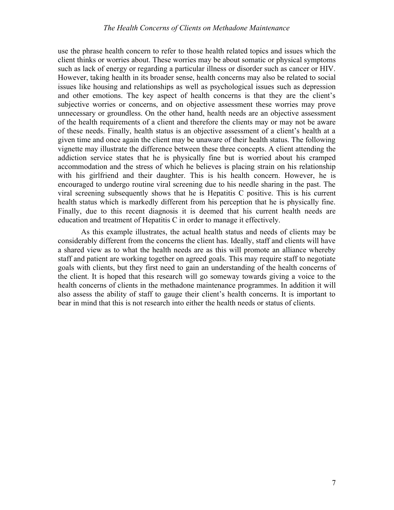#### *The Health Concerns of Clients on Methadone Maintenance*

use the phrase health concern to refer to those health related topics and issues which the client thinks or worries about. These worries may be about somatic or physical symptoms such as lack of energy or regarding a particular illness or disorder such as cancer or HIV. However, taking health in its broader sense, health concerns may also be related to social issues like housing and relationships as well as psychological issues such as depression and other emotions. The key aspect of health concerns is that they are the client's subjective worries or concerns, and on objective assessment these worries may prove unnecessary or groundless. On the other hand, health needs are an objective assessment of the health requirements of a client and therefore the clients may or may not be aware of these needs. Finally, health status is an objective assessment of a client's health at a given time and once again the client may be unaware of their health status. The following vignette may illustrate the difference between these three concepts. A client attending the addiction service states that he is physically fine but is worried about his cramped accommodation and the stress of which he believes is placing strain on his relationship with his girlfriend and their daughter. This is his health concern. However, he is encouraged to undergo routine viral screening due to his needle sharing in the past. The viral screening subsequently shows that he is Hepatitis C positive. This is his current health status which is markedly different from his perception that he is physically fine. Finally, due to this recent diagnosis it is deemed that his current health needs are education and treatment of Hepatitis C in order to manage it effectively.

As this example illustrates, the actual health status and needs of clients may be considerably different from the concerns the client has. Ideally, staff and clients will have a shared view as to what the health needs are as this will promote an alliance whereby staff and patient are working together on agreed goals. This may require staff to negotiate goals with clients, but they first need to gain an understanding of the health concerns of the client. It is hoped that this research will go someway towards giving a voice to the health concerns of clients in the methadone maintenance programmes. In addition it will also assess the ability of staff to gauge their client's health concerns. It is important to bear in mind that this is not research into either the health needs or status of clients.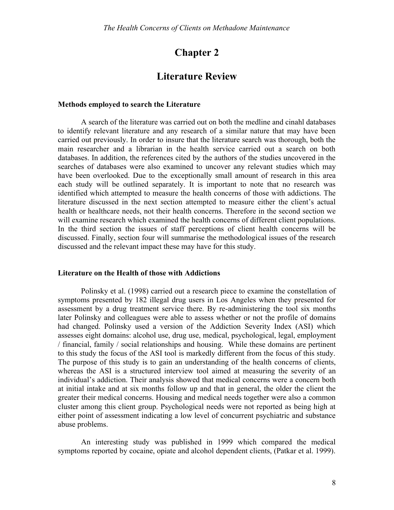## **Chapter 2**

### **Literature Review**

#### **Methods employed to search the Literature**

A search of the literature was carried out on both the medline and cinahl databases to identify relevant literature and any research of a similar nature that may have been carried out previously. In order to insure that the literature search was thorough, both the main researcher and a librarian in the health service carried out a search on both databases. In addition, the references cited by the authors of the studies uncovered in the searches of databases were also examined to uncover any relevant studies which may have been overlooked. Due to the exceptionally small amount of research in this area each study will be outlined separately. It is important to note that no research was identified which attempted to measure the health concerns of those with addictions. The literature discussed in the next section attempted to measure either the client's actual health or healthcare needs, not their health concerns. Therefore in the second section we will examine research which examined the health concerns of different client populations. In the third section the issues of staff perceptions of client health concerns will be discussed. Finally, section four will summarise the methodological issues of the research discussed and the relevant impact these may have for this study.

#### **Literature on the Health of those with Addictions**

Polinsky et al. (1998) carried out a research piece to examine the constellation of symptoms presented by 182 illegal drug users in Los Angeles when they presented for assessment by a drug treatment service there. By re-administering the tool six months later Polinsky and colleagues were able to assess whether or not the profile of domains had changed. Polinsky used a version of the Addiction Severity Index (ASI) which assesses eight domains: alcohol use, drug use, medical, psychological, legal, employment / financial, family / social relationships and housing. While these domains are pertinent to this study the focus of the ASI tool is markedly different from the focus of this study. The purpose of this study is to gain an understanding of the health concerns of clients, whereas the ASI is a structured interview tool aimed at measuring the severity of an individual's addiction. Their analysis showed that medical concerns were a concern both at initial intake and at six months follow up and that in general, the older the client the greater their medical concerns. Housing and medical needs together were also a common cluster among this client group. Psychological needs were not reported as being high at either point of assessment indicating a low level of concurrent psychiatric and substance abuse problems.

An interesting study was published in 1999 which compared the medical symptoms reported by cocaine, opiate and alcohol dependent clients, (Patkar et al. 1999).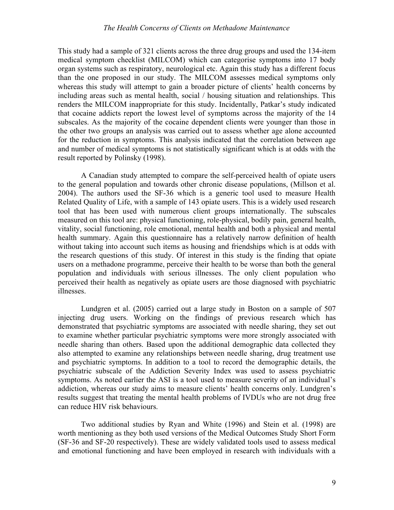#### *The Health Concerns of Clients on Methadone Maintenance*

This study had a sample of 321 clients across the three drug groups and used the 134-item medical symptom checklist (MILCOM) which can categorise symptoms into 17 body organ systems such as respiratory, neurological etc. Again this study has a different focus than the one proposed in our study. The MILCOM assesses medical symptoms only whereas this study will attempt to gain a broader picture of clients' health concerns by including areas such as mental health, social / housing situation and relationships. This renders the MILCOM inappropriate for this study. Incidentally, Patkar's study indicated that cocaine addicts report the lowest level of symptoms across the majority of the 14 subscales. As the majority of the cocaine dependent clients were younger than those in the other two groups an analysis was carried out to assess whether age alone accounted for the reduction in symptoms. This analysis indicated that the correlation between age and number of medical symptoms is not statistically significant which is at odds with the result reported by Polinsky (1998).

A Canadian study attempted to compare the self-perceived health of opiate users to the general population and towards other chronic disease populations, (Millson et al. 2004). The authors used the SF-36 which is a generic tool used to measure Health Related Quality of Life, with a sample of 143 opiate users. This is a widely used research tool that has been used with numerous client groups internationally. The subscales measured on this tool are: physical functioning, role-physical, bodily pain, general health, vitality, social functioning, role emotional, mental health and both a physical and mental health summary. Again this questionnaire has a relatively narrow definition of health without taking into account such items as housing and friendships which is at odds with the research questions of this study. Of interest in this study is the finding that opiate users on a methadone programme, perceive their health to be worse than both the general population and individuals with serious illnesses. The only client population who perceived their health as negatively as opiate users are those diagnosed with psychiatric illnesses.

Lundgren et al. (2005) carried out a large study in Boston on a sample of 507 injecting drug users. Working on the findings of previous research which has demonstrated that psychiatric symptoms are associated with needle sharing, they set out to examine whether particular psychiatric symptoms were more strongly associated with needle sharing than others. Based upon the additional demographic data collected they also attempted to examine any relationships between needle sharing, drug treatment use and psychiatric symptoms. In addition to a tool to record the demographic details, the psychiatric subscale of the Addiction Severity Index was used to assess psychiatric symptoms. As noted earlier the ASI is a tool used to measure severity of an individual's addiction, whereas our study aims to measure clients' health concerns only. Lundgren's results suggest that treating the mental health problems of IVDUs who are not drug free can reduce HIV risk behaviours.

Two additional studies by Ryan and White (1996) and Stein et al. (1998) are worth mentioning as they both used versions of the Medical Outcomes Study Short Form (SF-36 and SF-20 respectively). These are widely validated tools used to assess medical and emotional functioning and have been employed in research with individuals with a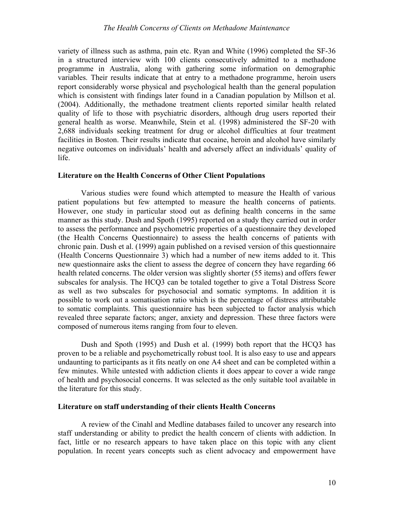variety of illness such as asthma, pain etc. Ryan and White (1996) completed the SF-36 in a structured interview with 100 clients consecutively admitted to a methadone programme in Australia, along with gathering some information on demographic variables. Their results indicate that at entry to a methadone programme, heroin users report considerably worse physical and psychological health than the general population which is consistent with findings later found in a Canadian population by Millson et al. (2004). Additionally, the methadone treatment clients reported similar health related quality of life to those with psychiatric disorders, although drug users reported their general health as worse. Meanwhile, Stein et al. (1998) administered the SF-20 with 2,688 individuals seeking treatment for drug or alcohol difficulties at four treatment facilities in Boston. Their results indicate that cocaine, heroin and alcohol have similarly negative outcomes on individuals' health and adversely affect an individuals' quality of life.

#### **Literature on the Health Concerns of Other Client Populations**

Various studies were found which attempted to measure the Health of various patient populations but few attempted to measure the health concerns of patients. However, one study in particular stood out as defining health concerns in the same manner as this study. Dush and Spoth (1995) reported on a study they carried out in order to assess the performance and psychometric properties of a questionnaire they developed (the Health Concerns Questionnaire) to assess the health concerns of patients with chronic pain. Dush et al. (1999) again published on a revised version of this questionnaire (Health Concerns Questionnaire 3) which had a number of new items added to it. This new questionnaire asks the client to assess the degree of concern they have regarding 66 health related concerns. The older version was slightly shorter (55 items) and offers fewer subscales for analysis. The HCQ3 can be totaled together to give a Total Distress Score as well as two subscales for psychosocial and somatic symptoms. In addition it is possible to work out a somatisation ratio which is the percentage of distress attributable to somatic complaints. This questionnaire has been subjected to factor analysis which revealed three separate factors; anger, anxiety and depression. These three factors were composed of numerous items ranging from four to eleven.

Dush and Spoth (1995) and Dush et al. (1999) both report that the HCQ3 has proven to be a reliable and psychometrically robust tool. It is also easy to use and appears undaunting to participants as it fits neatly on one A4 sheet and can be completed within a few minutes. While untested with addiction clients it does appear to cover a wide range of health and psychosocial concerns. It was selected as the only suitable tool available in the literature for this study.

#### **Literature on staff understanding of their clients Health Concerns**

A review of the Cinahl and Medline databases failed to uncover any research into staff understanding or ability to predict the health concern of clients with addiction. In fact, little or no research appears to have taken place on this topic with any client population. In recent years concepts such as client advocacy and empowerment have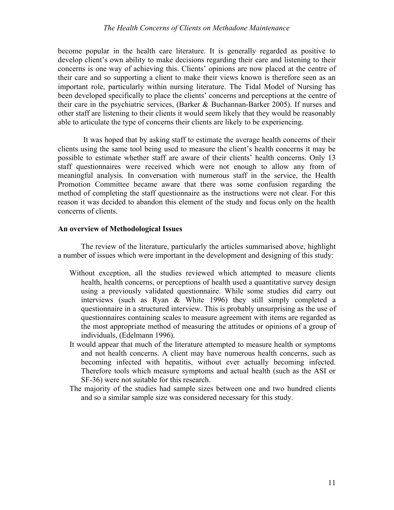#### *The Health Concerns of Clients on Methadone Maintenance*

become popular in the health care literature. It is generally regarded as positive to develop client's own ability to make decisions regarding their care and listening to their concerns is one way of achieving this. Clients' opinions are now placed at the centre of their care and so supporting a client to make their views known is therefore seen as an important role, particularly within nursing literature. The Tidal Model of Nursing has been developed specifically to place the clients' concerns and perceptions at the centre of their care in the psychiatric services, (Barker & Buchannan-Barker 2005). If nurses and other staff are listening to their clients it would seem likely that they would be reasonably able to articulate the type of concerns their clients are likely to be experiencing.

It was hoped that by asking staff to estimate the average health concerns of their clients using the same tool being used to measure the client's health concerns it may be possible to estimate whether staff are aware of their clients' health concerns. Only 13 staff questionnaires were received which were not enough to allow any from of meaningful analysis. In conversation with numerous staff in the service, the Health Promotion Committee became aware that there was some confusion regarding the method of completing the staff questionnaire as the instructions were not clear. For this reason it was decided to abandon this element of the study and focus only on the health concerns of clients.

#### **An overview of Methodological Issues**

The review of the literature, particularly the articles summarised above, highlight a number of issues which were important in the development and designing of this study:

- Without exception, all the studies reviewed which attempted to measure clients health, health concerns, or perceptions of health used a quantitative survey design using a previously validated questionnaire. While some studies did carry out interviews (such as Ryan & White 1996) they still simply completed a questionnaire in a structured interview. This is probably unsurprising as the use of questionnaires containing scales to measure agreement with items are regarded as the most appropriate method of measuring the attitudes or opinions of a group of individuals, (Edelmann 1996).
- It would appear that much of the literature attempted to measure health or symptoms and not health concerns. A client may have numerous health concerns, such as becoming infected with hepatitis, without ever actually becoming infected. Therefore tools which measure symptoms and actual health (such as the ASI or SF-36) were not suitable for this research.
- The majority of the studies had sample sizes between one and two hundred clients and so a similar sample size was considered necessary for this study.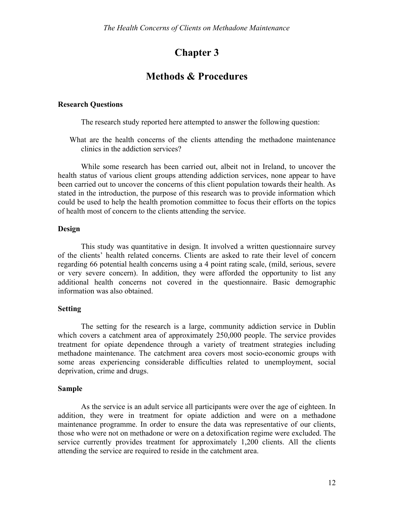## **Chapter 3**

## **Methods & Procedures**

#### **Research Questions**

The research study reported here attempted to answer the following question:

What are the health concerns of the clients attending the methadone maintenance clinics in the addiction services?

While some research has been carried out, albeit not in Ireland, to uncover the health status of various client groups attending addiction services, none appear to have been carried out to uncover the concerns of this client population towards their health. As stated in the introduction, the purpose of this research was to provide information which could be used to help the health promotion committee to focus their efforts on the topics of health most of concern to the clients attending the service.

#### **Design**

This study was quantitative in design. It involved a written questionnaire survey of the clients' health related concerns. Clients are asked to rate their level of concern regarding 66 potential health concerns using a 4 point rating scale, (mild, serious, severe or very severe concern). In addition, they were afforded the opportunity to list any additional health concerns not covered in the questionnaire. Basic demographic information was also obtained.

#### **Setting**

The setting for the research is a large, community addiction service in Dublin which covers a catchment area of approximately 250,000 people. The service provides treatment for opiate dependence through a variety of treatment strategies including methadone maintenance. The catchment area covers most socio-economic groups with some areas experiencing considerable difficulties related to unemployment, social deprivation, crime and drugs.

#### **Sample**

As the service is an adult service all participants were over the age of eighteen. In addition, they were in treatment for opiate addiction and were on a methadone maintenance programme. In order to ensure the data was representative of our clients, those who were not on methadone or were on a detoxification regime were excluded. The service currently provides treatment for approximately 1,200 clients. All the clients attending the service are required to reside in the catchment area.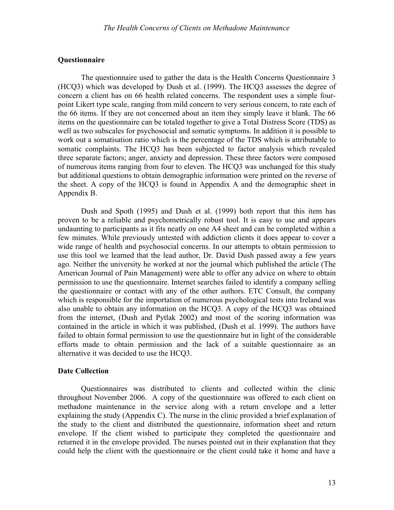#### **Questionnaire**

The questionnaire used to gather the data is the Health Concerns Questionnaire 3 (HCQ3) which was developed by Dush et al. (1999). The HCQ3 assesses the degree of concern a client has on 66 health related concerns. The respondent uses a simple fourpoint Likert type scale, ranging from mild concern to very serious concern, to rate each of the 66 items. If they are not concerned about an item they simply leave it blank. The 66 items on the questionnaire can be totaled together to give a Total Distress Score (TDS) as well as two subscales for psychosocial and somatic symptoms. In addition it is possible to work out a somatisation ratio which is the percentage of the TDS which is attributable to somatic complaints. The HCQ3 has been subjected to factor analysis which revealed three separate factors; anger, anxiety and depression. These three factors were composed of numerous items ranging from four to eleven. The HCQ3 was unchanged for this study but additional questions to obtain demographic information were printed on the reverse of the sheet. A copy of the HCQ3 is found in Appendix A and the demographic sheet in Appendix B.

Dush and Spoth (1995) and Dush et al. (1999) both report that this item has proven to be a reliable and psychometrically robust tool. It is easy to use and appears undaunting to participants as it fits neatly on one A4 sheet and can be completed within a few minutes. While previously untested with addiction clients it does appear to cover a wide range of health and psychosocial concerns. In our attempts to obtain permission to use this tool we learned that the lead author, Dr. David Dush passed away a few years ago. Neither the university he worked at nor the journal which published the article (The American Journal of Pain Management) were able to offer any advice on where to obtain permission to use the questionnaire. Internet searches failed to identify a company selling the questionnaire or contact with any of the other authors. ETC Consult, the company which is responsible for the importation of numerous psychological tests into Ireland was also unable to obtain any information on the HCQ3. A copy of the HCQ3 was obtained from the internet, (Dush and Pytlak 2002) and most of the scoring information was contained in the article in which it was published, (Dush et al. 1999). The authors have failed to obtain formal permission to use the questionnaire but in light of the considerable efforts made to obtain permission and the lack of a suitable questionnaire as an alternative it was decided to use the HCQ3.

#### **Date Collection**

Questionnaires was distributed to clients and collected within the clinic throughout November 2006. A copy of the questionnaire was offered to each client on methadone maintenance in the service along with a return envelope and a letter explaining the study (Appendix C). The nurse in the clinic provided a brief explanation of the study to the client and distributed the questionnaire, information sheet and return envelope. If the client wished to participate they completed the questionnaire and returned it in the envelope provided. The nurses pointed out in their explanation that they could help the client with the questionnaire or the client could take it home and have a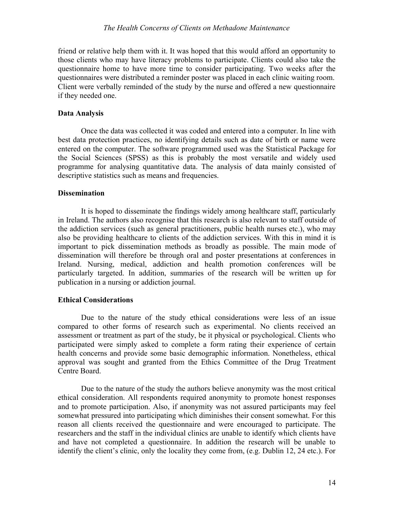#### *The Health Concerns of Clients on Methadone Maintenance*

friend or relative help them with it. It was hoped that this would afford an opportunity to those clients who may have literacy problems to participate. Clients could also take the questionnaire home to have more time to consider participating. Two weeks after the questionnaires were distributed a reminder poster was placed in each clinic waiting room. Client were verbally reminded of the study by the nurse and offered a new questionnaire if they needed one.

#### **Data Analysis**

Once the data was collected it was coded and entered into a computer. In line with best data protection practices, no identifying details such as date of birth or name were entered on the computer. The software programmed used was the Statistical Package for the Social Sciences (SPSS) as this is probably the most versatile and widely used programme for analysing quantitative data. The analysis of data mainly consisted of descriptive statistics such as means and frequencies.

#### **Dissemination**

It is hoped to disseminate the findings widely among healthcare staff, particularly in Ireland. The authors also recognise that this research is also relevant to staff outside of the addiction services (such as general practitioners, public health nurses etc.), who may also be providing healthcare to clients of the addiction services. With this in mind it is important to pick dissemination methods as broadly as possible. The main mode of dissemination will therefore be through oral and poster presentations at conferences in Ireland. Nursing, medical, addiction and health promotion conferences will be particularly targeted. In addition, summaries of the research will be written up for publication in a nursing or addiction journal.

#### **Ethical Considerations**

Due to the nature of the study ethical considerations were less of an issue compared to other forms of research such as experimental. No clients received an assessment or treatment as part of the study, be it physical or psychological. Clients who participated were simply asked to complete a form rating their experience of certain health concerns and provide some basic demographic information. Nonetheless, ethical approval was sought and granted from the Ethics Committee of the Drug Treatment Centre Board.

Due to the nature of the study the authors believe anonymity was the most critical ethical consideration. All respondents required anonymity to promote honest responses and to promote participation. Also, if anonymity was not assured participants may feel somewhat pressured into participating which diminishes their consent somewhat. For this reason all clients received the questionnaire and were encouraged to participate. The researchers and the staff in the individual clinics are unable to identify which clients have and have not completed a questionnaire. In addition the research will be unable to identify the client's clinic, only the locality they come from, (e.g. Dublin 12, 24 etc.). For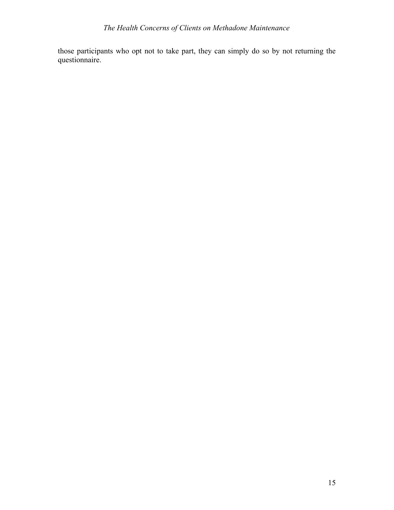those participants who opt not to take part, they can simply do so by not returning the questionnaire.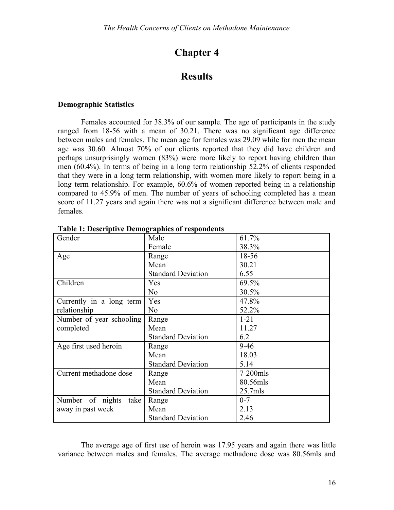## **Chapter 4**

## **Results**

#### **Demographic Statistics**

Females accounted for 38.3% of our sample. The age of participants in the study ranged from 18-56 with a mean of 30.21. There was no significant age difference between males and females. The mean age for females was 29.09 while for men the mean age was 30.60. Almost 70% of our clients reported that they did have children and perhaps unsurprisingly women (83%) were more likely to report having children than men (60.4%). In terms of being in a long term relationship 52.2% of clients responded that they were in a long term relationship, with women more likely to report being in a long term relationship. For example, 60.6% of women reported being in a relationship compared to 45.9% of men. The number of years of schooling completed has a mean score of 11.27 years and again there was not a significant difference between male and females.

| Gender                      | Male                      | 61.7%       |
|-----------------------------|---------------------------|-------------|
|                             | Female                    | 38.3%       |
| Age                         | Range                     | 18-56       |
|                             | Mean                      | 30.21       |
|                             | <b>Standard Deviation</b> | 6.55        |
| Children                    | Yes                       | 69.5%       |
|                             | N <sub>o</sub>            | 30.5%       |
| Currently in a long term    | Yes                       | 47.8%       |
| relationship                | N <sub>o</sub>            | 52.2%       |
| Number of year schooling    | Range                     | $1 - 21$    |
| completed                   | Mean                      | 11.27       |
|                             | <b>Standard Deviation</b> | 6.2         |
| Age first used heroin       | Range                     | $9 - 46$    |
|                             | Mean                      | 18.03       |
|                             | <b>Standard Deviation</b> | 5.14        |
| Current methadone dose      | Range                     | $7-200$ mls |
|                             | Mean                      | 80.56mls    |
|                             | <b>Standard Deviation</b> | $25.7$ mls  |
| of nights<br>Number<br>take | Range                     | $0 - 7$     |
| away in past week           | Mean                      | 2.13        |
|                             | <b>Standard Deviation</b> | 2.46        |

**Table 1: Descriptive Demographics of respondents**

The average age of first use of heroin was 17.95 years and again there was little variance between males and females. The average methadone dose was 80.56mls and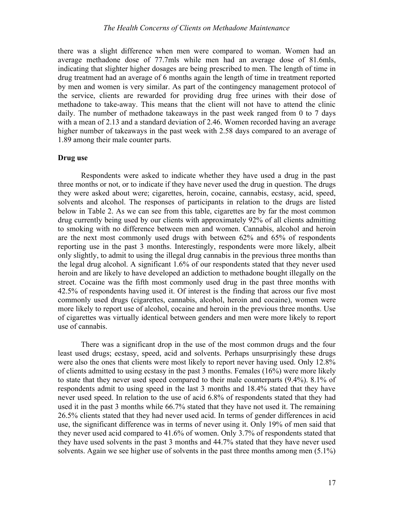there was a slight difference when men were compared to woman. Women had an average methadone dose of 77.7mls while men had an average dose of 81.6mls, indicating that slighter higher dosages are being prescribed to men. The length of time in drug treatment had an average of 6 months again the length of time in treatment reported by men and women is very similar. As part of the contingency management protocol of the service, clients are rewarded for providing drug free urines with their dose of methadone to take-away. This means that the client will not have to attend the clinic daily. The number of methadone takeaways in the past week ranged from 0 to 7 days with a mean of 2.13 and a standard deviation of 2.46. Women recorded having an average higher number of takeaways in the past week with 2.58 days compared to an average of 1.89 among their male counter parts.

#### **Drug use**

Respondents were asked to indicate whether they have used a drug in the past three months or not, or to indicate if they have never used the drug in question. The drugs they were asked about were; cigarettes, heroin, cocaine, cannabis, ecstasy, acid, speed, solvents and alcohol. The responses of participants in relation to the drugs are listed below in Table 2. As we can see from this table, cigarettes are by far the most common drug currently being used by our clients with approximately 92% of all clients admitting to smoking with no difference between men and women. Cannabis, alcohol and heroin are the next most commonly used drugs with between 62% and 65% of respondents reporting use in the past 3 months. Interestingly, respondents were more likely, albeit only slightly, to admit to using the illegal drug cannabis in the previous three months than the legal drug alcohol. A significant 1.6% of our respondents stated that they never used heroin and are likely to have developed an addiction to methadone bought illegally on the street. Cocaine was the fifth most commonly used drug in the past three months with 42.5% of respondents having used it. Of interest is the finding that across our five most commonly used drugs (cigarettes, cannabis, alcohol, heroin and cocaine), women were more likely to report use of alcohol, cocaine and heroin in the previous three months. Use of cigarettes was virtually identical between genders and men were more likely to report use of cannabis.

There was a significant drop in the use of the most common drugs and the four least used drugs; ecstasy, speed, acid and solvents. Perhaps unsurprisingly these drugs were also the ones that clients were most likely to report never having used. Only 12.8% of clients admitted to using ecstasy in the past 3 months. Females (16%) were more likely to state that they never used speed compared to their male counterparts (9.4%). 8.1% of respondents admit to using speed in the last 3 months and 18.4% stated that they have never used speed. In relation to the use of acid 6.8% of respondents stated that they had used it in the past 3 months while 66.7% stated that they have not used it. The remaining 26.5% clients stated that they had never used acid. In terms of gender differences in acid use, the significant difference was in terms of never using it. Only 19% of men said that they never used acid compared to 41.6% of women. Only 3.7% of respondents stated that they have used solvents in the past 3 months and 44.7% stated that they have never used solvents. Again we see higher use of solvents in the past three months among men (5.1%)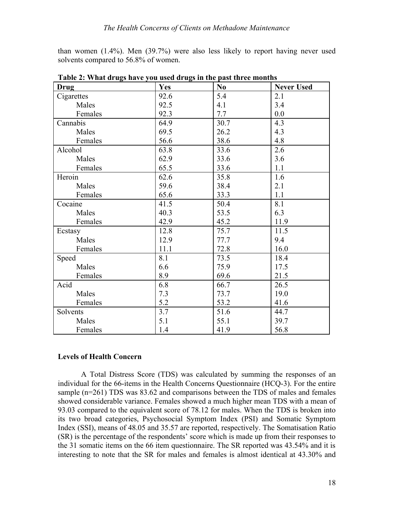than women (1.4%). Men (39.7%) were also less likely to report having never used solvents compared to 56.8% of women.

| <b>Drug</b> | Yes  | N <sub>0</sub> | <b>Never Used</b> |
|-------------|------|----------------|-------------------|
| Cigarettes  | 92.6 | 5.4            | 2.1               |
| Males       | 92.5 | 4.1            | 3.4               |
| Females     | 92.3 | 7.7            | 0.0               |
| Cannabis    | 64.9 | 30.7           | 4.3               |
| Males       | 69.5 | 26.2           | 4.3               |
| Females     | 56.6 | 38.6           | 4.8               |
| Alcohol     | 63.8 | 33.6           | 2.6               |
| Males       | 62.9 | 33.6           | 3.6               |
| Females     | 65.5 | 33.6           | 1.1               |
| Heroin      | 62.6 | 35.8           | 1.6               |
| Males       | 59.6 | 38.4           | 2.1               |
| Females     | 65.6 | 33.3           | 1.1               |
| Cocaine     | 41.5 | 50.4           | 8.1               |
| Males       | 40.3 | 53.5           | 6.3               |
| Females     | 42.9 | 45.2           | 11.9              |
| Ecstasy     | 12.8 | 75.7           | 11.5              |
| Males       | 12.9 | 77.7           | 9.4               |
| Females     | 11.1 | 72.8           | 16.0              |
| Speed       | 8.1  | 73.5           | 18.4              |
| Males       | 6.6  | 75.9           | 17.5              |
| Females     | 8.9  | 69.6           | 21.5              |
| Acid        | 6.8  | 66.7           | 26.5              |
| Males       | 7.3  | 73.7           | 19.0              |
| Females     | 5.2  | 53.2           | 41.6              |
| Solvents    | 3.7  | 51.6           | 44.7              |
| Males       | 5.1  | 55.1           | 39.7              |
| Females     | 1.4  | 41.9           | 56.8              |

**Table 2: What drugs have you used drugs in the past three months**

#### **Levels of Health Concern**

A Total Distress Score (TDS) was calculated by summing the responses of an individual for the 66-items in the Health Concerns Questionnaire (HCQ-3). For the entire sample (n=261) TDS was 83.62 and comparisons between the TDS of males and females showed considerable variance. Females showed a much higher mean TDS with a mean of 93.03 compared to the equivalent score of 78.12 for males. When the TDS is broken into its two broad categories, Psychosocial Symptom Index (PSI) and Somatic Symptom Index (SSI), means of 48.05 and 35.57 are reported, respectively. The Somatisation Ratio (SR) is the percentage of the respondents' score which is made up from their responses to the 31 somatic items on the 66 item questionnaire. The SR reported was 43.54% and it is interesting to note that the SR for males and females is almost identical at 43.30% and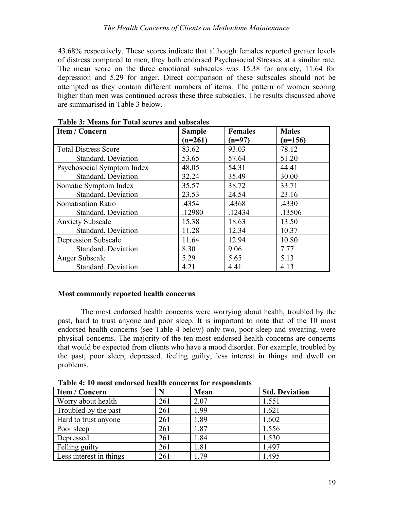43.68% respectively. These scores indicate that although females reported greater levels of distress compared to men, they both endorsed Psychosocial Stresses at a similar rate. The mean score on the three emotional subscales was 15.38 for anxiety, 11.64 for depression and 5.29 for anger. Direct comparison of these subscales should not be attempted as they contain different numbers of items. The pattern of women scoring higher than men was continued across these three subscales. The results discussed above are summarised in Table 3 below.

| <b>Item / Concern</b>       | <b>Sample</b> | <b>Females</b> | <b>Males</b> |
|-----------------------------|---------------|----------------|--------------|
|                             | $(n=261)$     | $(n=97)$       | $(n=156)$    |
| <b>Total Distress Score</b> | 83.62         | 93.03          | 78.12        |
| Standard. Deviation         | 53.65         | 57.64          | 51.20        |
| Psychosocial Symptom Index  | 48.05         | 54.31          | 44.41        |
| Standard. Deviation         | 32.24         | 35.49          | 30.00        |
| Somatic Symptom Index       | 35.57         | 38.72          | 33.71        |
| Standard. Deviation         | 23.53         | 24.54          | 23.16        |
| <b>Somatisation Ratio</b>   | .4354         | .4368          | .4330        |
| Standard. Deviation         | .12980        | .12434         | .13506       |
| <b>Anxiety Subscale</b>     | 15.38         | 18.63          | 13.50        |
| Standard. Deviation         | 11.28         | 12.34          | 10.37        |
| <b>Depression Subscale</b>  | 11.64         | 12.94          | 10.80        |
| Standard. Deviation         | 8.30          | 9.06           | 7.77         |
| Anger Subscale              | 5.29          | 5.65           | 5.13         |
| Standard. Deviation         | 4.21          | 4.41           | 4.13         |

#### **Table 3: Means for Total scores and subscales**

#### **Most commonly reported health concerns**

The most endorsed health concerns were worrying about health, troubled by the past, hard to trust anyone and poor sleep. It is important to note that of the 10 most endorsed health concerns (see Table 4 below) only two, poor sleep and sweating, were physical concerns. The majority of the ten most endorsed health concerns are concerns that would be expected from clients who have a mood disorder. For example, troubled by the past, poor sleep, depressed, feeling guilty, less interest in things and dwell on problems.

**Table 4: 10 most endorsed health concerns for respondents**

| <b>Item / Concern</b>   |     | Mean | <b>Std. Deviation</b> |
|-------------------------|-----|------|-----------------------|
| Worry about health      | 261 | 2.07 | 1.551                 |
| Troubled by the past    | 261 | 1.99 | 1.621                 |
| Hard to trust anyone    | 261 | 1.89 | 1.602                 |
| Poor sleep              | 261 | 1.87 | 1.556                 |
| Depressed               | 261 | 1.84 | 1.530                 |
| Felling guilty          | 261 | 1.81 | 1.497                 |
| Less interest in things | 261 | 1.79 | 1.495                 |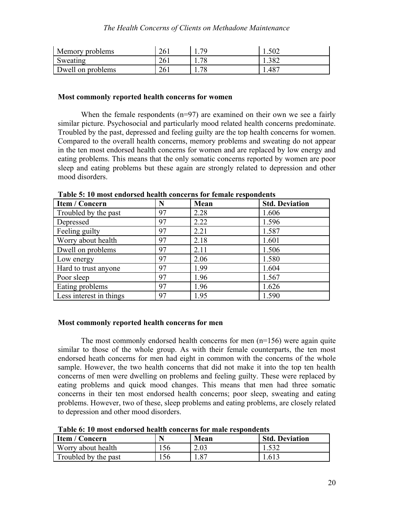| Memory problems   | ገሬ<br>∠∪⊥          | 70 | $\sqrt{2}$<br>1.004 |
|-------------------|--------------------|----|---------------------|
| Sweating          | 26<br>$\angle 0.1$ | 70 | 1.382               |
| Dwell on problems | $\bigcap$<br>∠∪⊥   | 7С | .487                |

#### **Most commonly reported health concerns for women**

When the female respondents  $(n=97)$  are examined on their own we see a fairly similar picture. Psychosocial and particularly mood related health concerns predominate. Troubled by the past, depressed and feeling guilty are the top health concerns for women. Compared to the overall health concerns, memory problems and sweating do not appear in the ten most endorsed health concerns for women and are replaced by low energy and eating problems. This means that the only somatic concerns reported by women are poor sleep and eating problems but these again are strongly related to depression and other mood disorders.

| <b>Item / Concern</b>   | Ñ  | Mean | <b>Std. Deviation</b> |
|-------------------------|----|------|-----------------------|
| Troubled by the past    | 97 | 2.28 | 1.606                 |
| Depressed               | 97 | 2.22 | 1.596                 |
| Feeling guilty          | 97 | 2.21 | 1.587                 |
| Worry about health      | 97 | 2.18 | 1.601                 |
| Dwell on problems       | 97 | 2.11 | 1.506                 |
| Low energy              | 97 | 2.06 | 1.580                 |
| Hard to trust anyone    | 97 | 1.99 | 1.604                 |
| Poor sleep              | 97 | 1.96 | 1.567                 |
| Eating problems         | 97 | 1.96 | 1.626                 |
| Less interest in things | 97 | 1.95 | 1.590                 |

**Table 5: 10 most endorsed health concerns for female respondents**

#### **Most commonly reported health concerns for men**

The most commonly endorsed health concerns for men  $(n=156)$  were again quite similar to those of the whole group. As with their female counterparts, the ten most endorsed heath concerns for men had eight in common with the concerns of the whole sample. However, the two health concerns that did not make it into the top ten health concerns of men were dwelling on problems and feeling guilty. These were replaced by eating problems and quick mood changes. This means that men had three somatic concerns in their ten most endorsed health concerns; poor sleep, sweating and eating problems. However, two of these, sleep problems and eating problems, are closely related to depression and other mood disorders.

| Table v, To most engolsed health concerns for male respondence |    |      |                       |  |
|----------------------------------------------------------------|----|------|-----------------------|--|
| <b>Item / Concern</b>                                          |    | Mean | <b>Std. Deviation</b> |  |
| Worry about health                                             | 56 | 2.03 | 1.532                 |  |
| Troubled by the past                                           | 56 | .87  | 1.613                 |  |

**Table 6: 10 most endorsed health concerns for male respondents**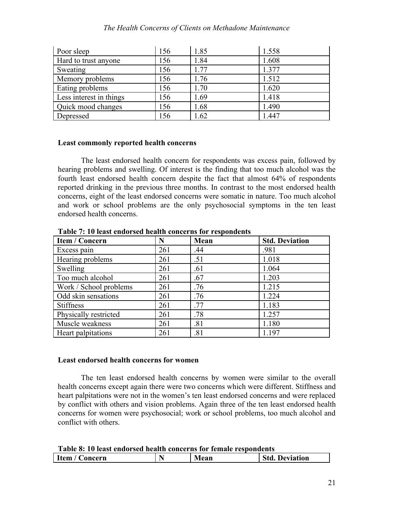#### *The Health Concerns of Clients on Methadone Maintenance*

| Poor sleep              | 156 | 1.85 | 1.558 |
|-------------------------|-----|------|-------|
| Hard to trust anyone    | 156 | 1.84 | 1.608 |
| Sweating                | 156 | 1.77 | 1.377 |
| Memory problems         | 156 | 1.76 | 1.512 |
| Eating problems         | 156 | 1.70 | 1.620 |
| Less interest in things | 156 | 1.69 | 1.418 |
| Quick mood changes      | 156 | 1.68 | 1.490 |
| Depressed               | 156 | 1.62 | 1.447 |

#### **Least commonly reported health concerns**

The least endorsed health concern for respondents was excess pain, followed by hearing problems and swelling. Of interest is the finding that too much alcohol was the fourth least endorsed health concern despite the fact that almost 64% of respondents reported drinking in the previous three months. In contrast to the most endorsed health concerns, eight of the least endorsed concerns were somatic in nature. Too much alcohol and work or school problems are the only psychosocial symptoms in the ten least endorsed health concerns.

| <b>Item / Concern</b>  | N   | Mean | <b>Std. Deviation</b> |
|------------------------|-----|------|-----------------------|
| Excess pain            | 261 | .44  | .981                  |
| Hearing problems       | 261 | .51  | 1.018                 |
| Swelling               | 261 | .61  | 1.064                 |
| Too much alcohol       | 261 | .67  | 1.203                 |
| Work / School problems | 261 | .76  | 1.215                 |
| Odd skin sensations    | 261 | .76  | 1.224                 |
| <b>Stiffness</b>       | 261 | .77  | 1.183                 |
| Physically restricted  | 261 | .78  | 1.257                 |
| Muscle weakness        | 261 | .81  | 1.180                 |
| Heart palpitations     | 261 | .81  | 1.197                 |

**Table 7: 10 least endorsed health concerns for respondents**

#### **Least endorsed health concerns for women**

The ten least endorsed health concerns by women were similar to the overall health concerns except again there were two concerns which were different. Stiffness and heart palpitations were not in the women's ten least endorsed concerns and were replaced by conflict with others and vision problems. Again three of the ten least endorsed health concerns for women were psychosocial; work or school problems, too much alcohol and conflict with others.

| Table 8: 10 least endorsed health concerns for female respondents |  |      |                       |
|-------------------------------------------------------------------|--|------|-----------------------|
| Item / Concern                                                    |  | Mean | <b>Std. Deviation</b> |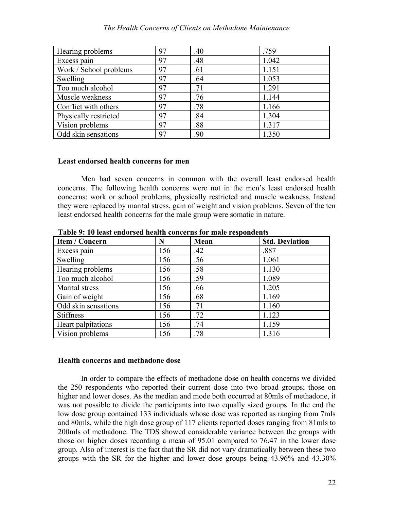#### *The Health Concerns of Clients on Methadone Maintenance*

| Hearing problems       | 97 | .40 | .759  |
|------------------------|----|-----|-------|
| Excess pain            | 97 | .48 | 1.042 |
| Work / School problems | 97 | .61 | 1.151 |
| Swelling               | 97 | .64 | 1.053 |
| Too much alcohol       | 97 | .71 | 1.291 |
| Muscle weakness        | 97 | .76 | 1.144 |
| Conflict with others   | 97 | .78 | 1.166 |
| Physically restricted  | 97 | .84 | 1.304 |
| Vision problems        | 97 | .88 | 1.317 |
| Odd skin sensations    | 97 | .90 | 1.350 |

#### **Least endorsed health concerns for men**

Men had seven concerns in common with the overall least endorsed health concerns. The following health concerns were not in the men's least endorsed health concerns; work or school problems, physically restricted and muscle weakness. Instead they were replaced by marital stress, gain of weight and vision problems. Seven of the ten least endorsed health concerns for the male group were somatic in nature.

| <b>Item / Concern</b> | N   | Mean | <b>Std. Deviation</b> |
|-----------------------|-----|------|-----------------------|
| Excess pain           | 156 | .42  | .887                  |
| Swelling              | 156 | .56  | 1.061                 |
| Hearing problems      | 156 | .58  | 1.130                 |
| Too much alcohol      | 156 | .59  | 1.089                 |
| Marital stress        | 156 | .66  | 1.205                 |
| Gain of weight        | 156 | .68  | 1.169                 |
| Odd skin sensations   | 156 | .71  | 1.160                 |
| <b>Stiffness</b>      | 156 | .72  | 1.123                 |
| Heart palpitations    | 156 | .74  | 1.159                 |
| Vision problems       | 156 | .78  | 1.316                 |

**Table 9: 10 least endorsed health concerns for male respondents**

#### **Health concerns and methadone dose**

In order to compare the effects of methadone dose on health concerns we divided the 250 respondents who reported their current dose into two broad groups; those on higher and lower doses. As the median and mode both occurred at 80mls of methadone, it was not possible to divide the participants into two equally sized groups. In the end the low dose group contained 133 individuals whose dose was reported as ranging from 7mls and 80mls, while the high dose group of 117 clients reported doses ranging from 81mls to 200mls of methadone. The TDS showed considerable variance between the groups with those on higher doses recording a mean of 95.01 compared to 76.47 in the lower dose group. Also of interest is the fact that the SR did not vary dramatically between these two groups with the SR for the higher and lower dose groups being 43.96% and 43.30%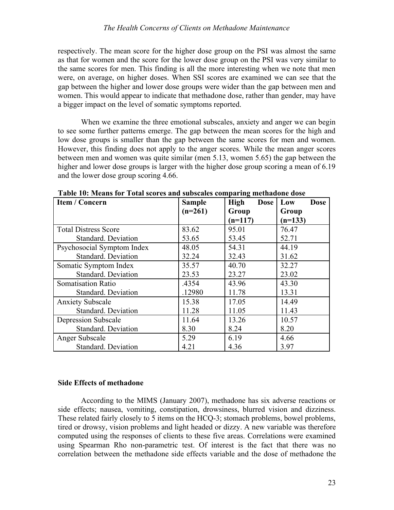respectively. The mean score for the higher dose group on the PSI was almost the same as that for women and the score for the lower dose group on the PSI was very similar to the same scores for men. This finding is all the more interesting when we note that men were, on average, on higher doses. When SSI scores are examined we can see that the gap between the higher and lower dose groups were wider than the gap between men and women. This would appear to indicate that methadone dose, rather than gender, may have a bigger impact on the level of somatic symptoms reported.

When we examine the three emotional subscales, anxiety and anger we can begin to see some further patterns emerge. The gap between the mean scores for the high and low dose groups is smaller than the gap between the same scores for men and women. However, this finding does not apply to the anger scores. While the mean anger scores between men and women was quite similar (men 5.13, women 5.65) the gap between the higher and lower dose groups is larger with the higher dose group scoring a mean of 6.19 and the lower dose group scoring 4.66.

| <b>Item / Concern</b>       | <b>Sample</b> | <b>High</b><br><b>Dose</b> | Low<br><b>Dose</b> |
|-----------------------------|---------------|----------------------------|--------------------|
|                             | $(n=261)$     | Group                      | Group              |
|                             |               | $(n=117)$                  | $(n=133)$          |
| <b>Total Distress Score</b> | 83.62         | 95.01                      | 76.47              |
| <b>Standard. Deviation</b>  | 53.65         | 53.45                      | 52.71              |
| Psychosocial Symptom Index  | 48.05         | 54.31                      | 44.19              |
| <b>Standard. Deviation</b>  | 32.24         | 32.43                      | 31.62              |
| Somatic Symptom Index       | 35.57         | 40.70                      | 32.27              |
| Standard. Deviation         | 23.53         | 23.27                      | 23.02              |
| <b>Somatisation Ratio</b>   | .4354         | 43.96                      | 43.30              |
| Standard. Deviation         | .12980        | 11.78                      | 13.31              |
| <b>Anxiety Subscale</b>     | 15.38         | 17.05                      | 14.49              |
| <b>Standard. Deviation</b>  | 11.28         | 11.05                      | 11.43              |
| <b>Depression Subscale</b>  | 11.64         | 13.26                      | 10.57              |
| <b>Standard. Deviation</b>  | 8.30          | 8.24                       | 8.20               |
| Anger Subscale              | 5.29          | 6.19                       | 4.66               |
| Standard. Deviation         | 4.21          | 4.36                       | 3.97               |

**Table 10: Means for Total scores and subscales comparing methadone dose**

#### **Side Effects of methadone**

According to the MIMS (January 2007), methadone has six adverse reactions or side effects; nausea, vomiting, constipation, drowsiness, blurred vision and dizziness. These related fairly closely to 5 items on the HCQ-3; stomach problems, bowel problems, tired or drowsy, vision problems and light headed or dizzy. A new variable was therefore computed using the responses of clients to these five areas. Correlations were examined using Spearman Rho non-parametric test. Of interest is the fact that there was no correlation between the methadone side effects variable and the dose of methadone the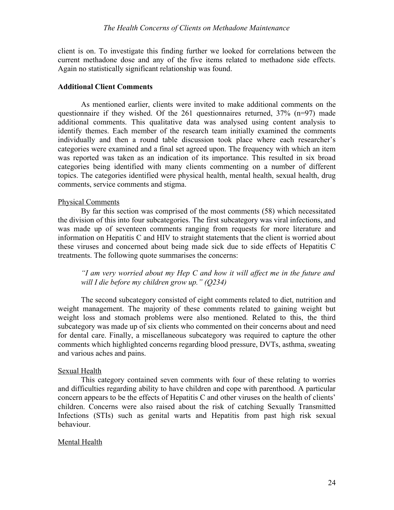client is on. To investigate this finding further we looked for correlations between the current methadone dose and any of the five items related to methadone side effects. Again no statistically significant relationship was found.

#### **Additional Client Comments**

As mentioned earlier, clients were invited to make additional comments on the questionnaire if they wished. Of the 261 questionnaires returned, 37% (n=97) made additional comments. This qualitative data was analysed using content analysis to identify themes. Each member of the research team initially examined the comments individually and then a round table discussion took place where each researcher's categories were examined and a final set agreed upon. The frequency with which an item was reported was taken as an indication of its importance. This resulted in six broad categories being identified with many clients commenting on a number of different topics. The categories identified were physical health, mental health, sexual health, drug comments, service comments and stigma.

#### Physical Comments

By far this section was comprised of the most comments (58) which necessitated the division of this into four subcategories. The first subcategory was viral infections, and was made up of seventeen comments ranging from requests for more literature and information on Hepatitis C and HIV to straight statements that the client is worried about these viruses and concerned about being made sick due to side effects of Hepatitis C treatments. The following quote summarises the concerns:

*"I am very worried about my Hep C and how it will affect me in the future and will I die before my children grow up." (Q234)*

The second subcategory consisted of eight comments related to diet, nutrition and weight management. The majority of these comments related to gaining weight but weight loss and stomach problems were also mentioned. Related to this, the third subcategory was made up of six clients who commented on their concerns about and need for dental care. Finally, a miscellaneous subcategory was required to capture the other comments which highlighted concerns regarding blood pressure, DVTs, asthma, sweating and various aches and pains.

#### Sexual Health

This category contained seven comments with four of these relating to worries and difficulties regarding ability to have children and cope with parenthood. A particular concern appears to be the effects of Hepatitis C and other viruses on the health of clients' children. Concerns were also raised about the risk of catching Sexually Transmitted Infections (STIs) such as genital warts and Hepatitis from past high risk sexual behaviour.

#### Mental Health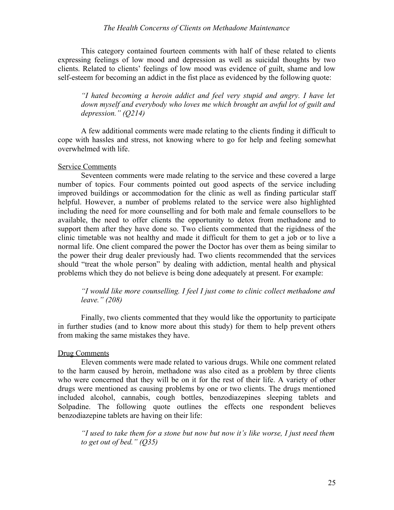#### *The Health Concerns of Clients on Methadone Maintenance*

This category contained fourteen comments with half of these related to clients expressing feelings of low mood and depression as well as suicidal thoughts by two clients. Related to clients' feelings of low mood was evidence of guilt, shame and low self-esteem for becoming an addict in the fist place as evidenced by the following quote:

*"I hated becoming a heroin addict and feel very stupid and angry. I have let down myself and everybody who loves me which brought an awful lot of guilt and depression." (Q214)*

A few additional comments were made relating to the clients finding it difficult to cope with hassles and stress, not knowing where to go for help and feeling somewhat overwhelmed with life.

#### Service Comments

Seventeen comments were made relating to the service and these covered a large number of topics. Four comments pointed out good aspects of the service including improved buildings or accommodation for the clinic as well as finding particular staff helpful. However, a number of problems related to the service were also highlighted including the need for more counselling and for both male and female counsellors to be available, the need to offer clients the opportunity to detox from methadone and to support them after they have done so. Two clients commented that the rigidness of the clinic timetable was not healthy and made it difficult for them to get a job or to live a normal life. One client compared the power the Doctor has over them as being similar to the power their drug dealer previously had. Two clients recommended that the services should "treat the whole person" by dealing with addiction, mental health and physical problems which they do not believe is being done adequately at present. For example:

*"I would like more counselling. I feel I just come to clinic collect methadone and leave." (208)* 

Finally, two clients commented that they would like the opportunity to participate in further studies (and to know more about this study) for them to help prevent others from making the same mistakes they have.

#### Drug Comments

Eleven comments were made related to various drugs. While one comment related to the harm caused by heroin, methadone was also cited as a problem by three clients who were concerned that they will be on it for the rest of their life. A variety of other drugs were mentioned as causing problems by one or two clients. The drugs mentioned included alcohol, cannabis, cough bottles, benzodiazepines sleeping tablets and Solpadine. The following quote outlines the effects one respondent believes benzodiazepine tablets are having on their life:

*"I used to take them for a stone but now but now it's like worse, I just need them to get out of bed." (Q35)*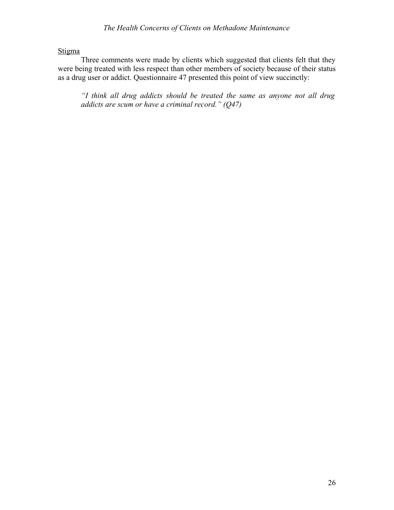Stigma

Three comments were made by clients which suggested that clients felt that they were being treated with less respect than other members of society because of their status as a drug user or addict. Questionnaire 47 presented this point of view succinctly:

*"I think all drug addicts should be treated the same as anyone not all drug addicts are scum or have a criminal record." (Q47)*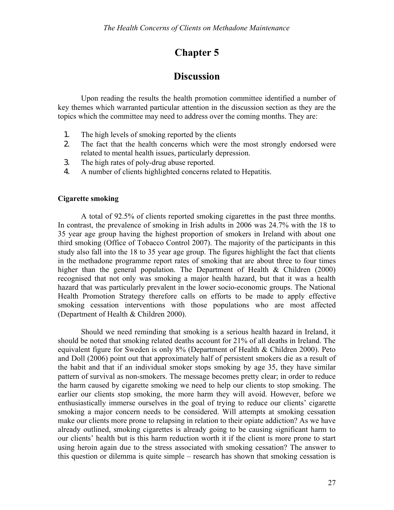## **Chapter 5**

### **Discussion**

Upon reading the results the health promotion committee identified a number of key themes which warranted particular attention in the discussion section as they are the topics which the committee may need to address over the coming months. They are:

- 1. The high levels of smoking reported by the clients
- 2. The fact that the health concerns which were the most strongly endorsed were related to mental health issues, particularly depression.
- 3. The high rates of poly-drug abuse reported.
- 4. A number of clients highlighted concerns related to Hepatitis.

#### **Cigarette smoking**

A total of 92.5% of clients reported smoking cigarettes in the past three months. In contrast, the prevalence of smoking in Irish adults in 2006 was 24.7% with the 18 to 35 year age group having the highest proportion of smokers in Ireland with about one third smoking (Office of Tobacco Control 2007). The majority of the participants in this study also fall into the 18 to 35 year age group. The figures highlight the fact that clients in the methadone programme report rates of smoking that are about three to four times higher than the general population. The Department of Health  $\&$  Children (2000) recognised that not only was smoking a major health hazard, but that it was a health hazard that was particularly prevalent in the lower socio-economic groups. The National Health Promotion Strategy therefore calls on efforts to be made to apply effective smoking cessation interventions with those populations who are most affected (Department of Health & Children 2000).

Should we need reminding that smoking is a serious health hazard in Ireland, it should be noted that smoking related deaths account for 21% of all deaths in Ireland. The equivalent figure for Sweden is only 8% (Department of Health & Children 2000). Peto and Doll (2006) point out that approximately half of persistent smokers die as a result of the habit and that if an individual smoker stops smoking by age 35, they have similar pattern of survival as non-smokers. The message becomes pretty clear; in order to reduce the harm caused by cigarette smoking we need to help our clients to stop smoking. The earlier our clients stop smoking, the more harm they will avoid. However, before we enthusiastically immerse ourselves in the goal of trying to reduce our clients' cigarette smoking a major concern needs to be considered. Will attempts at smoking cessation make our clients more prone to relapsing in relation to their opiate addiction? As we have already outlined, smoking cigarettes is already going to be causing significant harm to our clients' health but is this harm reduction worth it if the client is more prone to start using heroin again due to the stress associated with smoking cessation? The answer to this question or dilemma is quite simple – research has shown that smoking cessation is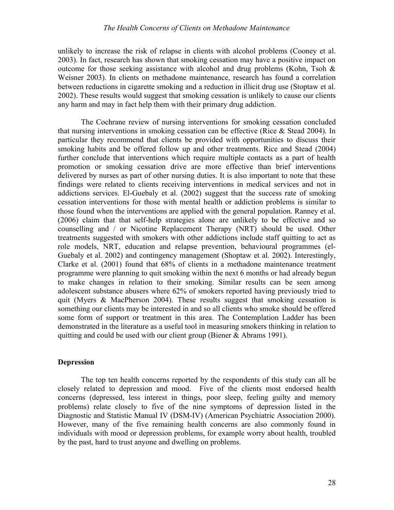#### *The Health Concerns of Clients on Methadone Maintenance*

unlikely to increase the risk of relapse in clients with alcohol problems (Cooney et al. 2003). In fact, research has shown that smoking cessation may have a positive impact on outcome for those seeking assistance with alcohol and drug problems (Kohn, Tsoh  $\&$ Weisner 2003). In clients on methadone maintenance, research has found a correlation between reductions in cigarette smoking and a reduction in illicit drug use (Stoptaw et al. 2002). These results would suggest that smoking cessation is unlikely to cause our clients any harm and may in fact help them with their primary drug addiction.

The Cochrane review of nursing interventions for smoking cessation concluded that nursing interventions in smoking cessation can be effective (Rice & Stead 2004). In particular they recommend that clients be provided with opportunities to discuss their smoking habits and be offered follow up and other treatments. Rice and Stead (2004) further conclude that interventions which require multiple contacts as a part of health promotion or smoking cessation drive are more effective than brief interventions delivered by nurses as part of other nursing duties. It is also important to note that these findings were related to clients receiving interventions in medical services and not in addictions services. El-Guebaly et al. (2002) suggest that the success rate of smoking cessation interventions for those with mental health or addiction problems is similar to those found when the interventions are applied with the general population. Ranney et al. (2006) claim that that self-help strategies alone are unlikely to be effective and so counselling and / or Nicotine Replacement Therapy (NRT) should be used. Other treatments suggested with smokers with other addictions include staff quitting to act as role models, NRT, education and relapse prevention, behavioural programmes (el-Guebaly et al. 2002) and contingency management (Shoptaw et al. 2002). Interestingly, Clarke et al. (2001) found that 68% of clients in a methadone maintenance treatment programme were planning to quit smoking within the next 6 months or had already begun to make changes in relation to their smoking. Similar results can be seen among adolescent substance abusers where 62% of smokers reported having previously tried to quit (Myers & MacPherson 2004). These results suggest that smoking cessation is something our clients may be interested in and so all clients who smoke should be offered some form of support or treatment in this area. The Contemplation Ladder has been demonstrated in the literature as a useful tool in measuring smokers thinking in relation to quitting and could be used with our client group (Biener & Abrams 1991).

#### **Depression**

The top ten health concerns reported by the respondents of this study can all be closely related to depression and mood. Five of the clients most endorsed health concerns (depressed, less interest in things, poor sleep, feeling guilty and memory problems) relate closely to five of the nine symptoms of depression listed in the Diagnostic and Statistic Manual IV (DSM-IV) (American Psychiatric Association 2000). However, many of the five remaining health concerns are also commonly found in individuals with mood or depression problems, for example worry about health, troubled by the past, hard to trust anyone and dwelling on problems.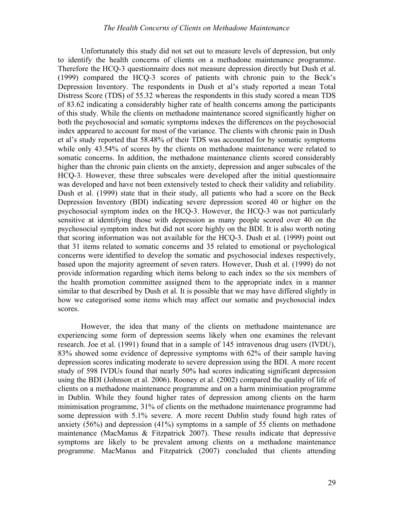Unfortunately this study did not set out to measure levels of depression, but only to identify the health concerns of clients on a methadone maintenance programme. Therefore the HCQ-3 questionnaire does not measure depression directly but Dush et al. (1999) compared the HCQ-3 scores of patients with chronic pain to the Beck's Depression Inventory. The respondents in Dush et al's study reported a mean Total Distress Score (TDS) of 55.32 whereas the respondents in this study scored a mean TDS of 83.62 indicating a considerably higher rate of health concerns among the participants of this study. While the clients on methadone maintenance scored significantly higher on both the psychosocial and somatic symptoms indexes the differences on the psychosocial index appeared to account for most of the variance. The clients with chronic pain in Dush et al's study reported that 58.48% of their TDS was accounted for by somatic symptoms while only 43.54% of scores by the clients on methadone maintenance were related to somatic concerns. In addition, the methadone maintenance clients scored considerably higher than the chronic pain clients on the anxiety, depression and anger subscales of the HCQ-3. However, these three subscales were developed after the initial questionnaire was developed and have not been extensively tested to check their validity and reliability. Dush et al. (1999) state that in their study, all patients who had a score on the Beck Depression Inventory (BDI) indicating severe depression scored 40 or higher on the psychosocial symptom index on the HCQ-3. However, the HCQ-3 was not particularly sensitive at identifying those with depression as many people scored over 40 on the psychosocial symptom index but did not score highly on the BDI. It is also worth noting that scoring information was not available for the HCQ-3. Dush et al. (1999) point out that 31 items related to somatic concerns and 35 related to emotional or psychological concerns were identified to develop the somatic and psychosocial indexes respectively, based upon the majority agreement of seven raters. However, Dush et al. (1999) do not provide information regarding which items belong to each index so the six members of the health promotion committee assigned them to the appropriate index in a manner similar to that described by Dush et al. It is possible that we may have differed slightly in how we categorised some items which may affect our somatic and psychosocial index scores.

However, the idea that many of the clients on methadone maintenance are experiencing some form of depression seems likely when one examines the relevant research. Joe et al. (1991) found that in a sample of 145 intravenous drug users (IVDU), 83% showed some evidence of depressive symptoms with 62% of their sample having depression scores indicating moderate to severe depression using the BDI. A more recent study of 598 IVDUs found that nearly 50% had scores indicating significant depression using the BDI (Johnson et al. 2006). Rooney et al. (2002) compared the quality of life of clients on a methadone maintenance programme and on a harm minimisation programme in Dublin. While they found higher rates of depression among clients on the harm minimisation programme, 31% of clients on the methadone maintenance programme had some depression with 5.1% severe. A more recent Dublin study found high rates of anxiety (56%) and depression (41%) symptoms in a sample of 55 clients on methadone maintenance (MacManus & Fitzpatrick 2007). These results indicate that depressive symptoms are likely to be prevalent among clients on a methadone maintenance programme. MacManus and Fitzpatrick (2007) concluded that clients attending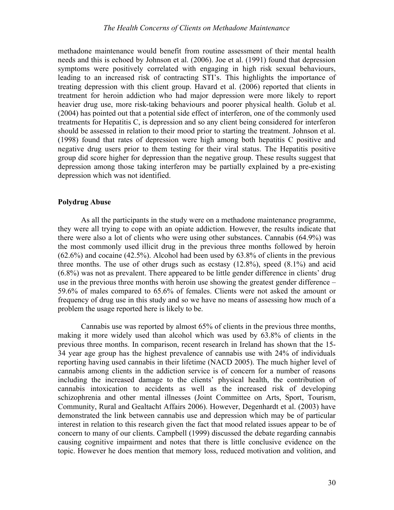methadone maintenance would benefit from routine assessment of their mental health needs and this is echoed by Johnson et al. (2006). Joe et al. (1991) found that depression symptoms were positively correlated with engaging in high risk sexual behaviours, leading to an increased risk of contracting STI's. This highlights the importance of treating depression with this client group. Havard et al. (2006) reported that clients in treatment for heroin addiction who had major depression were more likely to report heavier drug use, more risk-taking behaviours and poorer physical health. Golub et al. (2004) has pointed out that a potential side effect of interferon, one of the commonly used treatments for Hepatitis C, is depression and so any client being considered for interferon should be assessed in relation to their mood prior to starting the treatment. Johnson et al. (1998) found that rates of depression were high among both hepatitis C positive and negative drug users prior to them testing for their viral status. The Hepatitis positive group did score higher for depression than the negative group. These results suggest that depression among those taking interferon may be partially explained by a pre-existing depression which was not identified.

#### **Polydrug Abuse**

As all the participants in the study were on a methadone maintenance programme, they were all trying to cope with an opiate addiction. However, the results indicate that there were also a lot of clients who were using other substances. Cannabis (64.9%) was the most commonly used illicit drug in the previous three months followed by heroin (62.6%) and cocaine (42.5%). Alcohol had been used by 63.8% of clients in the previous three months. The use of other drugs such as ecstasy (12.8%), speed (8.1%) and acid (6.8%) was not as prevalent. There appeared to be little gender difference in clients' drug use in the previous three months with heroin use showing the greatest gender difference – 59.6% of males compared to 65.6% of females. Clients were not asked the amount or frequency of drug use in this study and so we have no means of assessing how much of a problem the usage reported here is likely to be.

Cannabis use was reported by almost 65% of clients in the previous three months, making it more widely used than alcohol which was used by 63.8% of clients in the previous three months. In comparison, recent research in Ireland has shown that the 15- 34 year age group has the highest prevalence of cannabis use with 24% of individuals reporting having used cannabis in their lifetime (NACD 2005). The much higher level of cannabis among clients in the addiction service is of concern for a number of reasons including the increased damage to the clients' physical health, the contribution of cannabis intoxication to accidents as well as the increased risk of developing schizophrenia and other mental illnesses (Joint Committee on Arts, Sport, Tourism, Community, Rural and Gealtacht Affairs 2006). However, Degenhardt et al. (2003) have demonstrated the link between cannabis use and depression which may be of particular interest in relation to this research given the fact that mood related issues appear to be of concern to many of our clients. Campbell (1999) discussed the debate regarding cannabis causing cognitive impairment and notes that there is little conclusive evidence on the topic. However he does mention that memory loss, reduced motivation and volition, and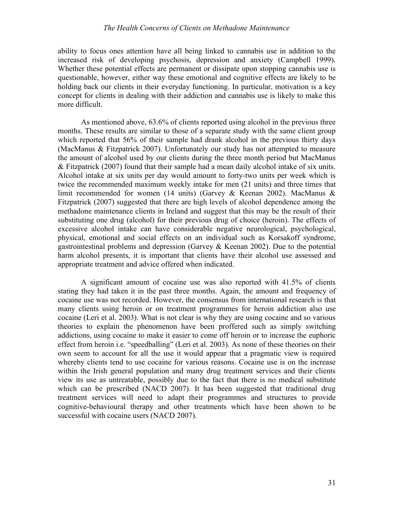#### *The Health Concerns of Clients on Methadone Maintenance*

ability to focus ones attention have all being linked to cannabis use in addition to the increased risk of developing psychosis, depression and anxiety (Campbell 1999). Whether these potential effects are permanent or dissipate upon stopping cannabis use is questionable, however, either way these emotional and cognitive effects are likely to be holding back our clients in their everyday functioning. In particular, motivation is a key concept for clients in dealing with their addiction and cannabis use is likely to make this more difficult.

As mentioned above, 63.6% of clients reported using alcohol in the previous three months. These results are similar to those of a separate study with the same client group which reported that 56% of their sample had drank alcohol in the previous thirty days (MacManus & Fitzpatrick 2007). Unfortunately our study has not attempted to measure the amount of alcohol used by our clients during the three month period but MacManus & Fitzpatrick (2007) found that their sample had a mean daily alcohol intake of six units. Alcohol intake at six units per day would amount to forty-two units per week which is twice the recommended maximum weekly intake for men (21 units) and three times that limit recommended for women (14 units) (Garvey & Keenan 2002). MacManus & Fitzpatrick (2007) suggested that there are high levels of alcohol dependence among the methadone maintenance clients in Ireland and suggest that this may be the result of their substituting one drug (alcohol) for their previous drug of choice (heroin). The effects of excessive alcohol intake can have considerable negative neurological, psychological, physical, emotional and social effects on an individual such as Korsakoff syndrome, gastrointestinal problems and depression (Garvey & Keenan 2002). Due to the potential harm alcohol presents, it is important that clients have their alcohol use assessed and appropriate treatment and advice offered when indicated.

A significant amount of cocaine use was also reported with 41.5% of clients stating they had taken it in the past three months. Again, the amount and frequency of cocaine use was not recorded. However, the consensus from international research is that many clients using heroin or on treatment programmes for heroin addiction also use cocaine (Leri et al. 2003). What is not clear is why they are using cocaine and so various theories to explain the phenomenon have been proffered such as simply switching addictions, using cocaine to make it easier to come off heroin or to increase the euphoric effect from heroin i.e. "speedballing" (Leri et al. 2003). As none of these theories on their own seem to account for all the use it would appear that a pragmatic view is required whereby clients tend to use cocaine for various reasons. Cocaine use is on the increase within the Irish general population and many drug treatment services and their clients view its use as untreatable, possibly due to the fact that there is no medical substitute which can be prescribed (NACD 2007). It has been suggested that traditional drug treatment services will need to adapt their programmes and structures to provide cognitive-behavioural therapy and other treatments which have been shown to be successful with cocaine users (NACD 2007).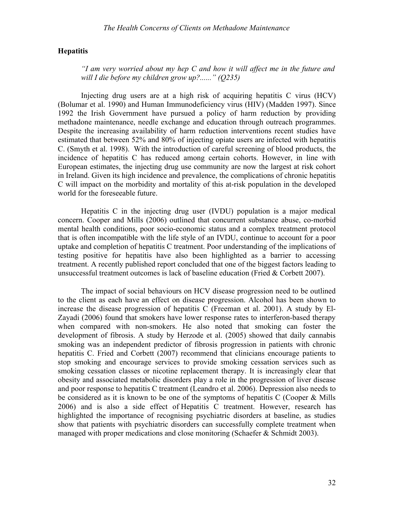#### **Hepatitis**

*"I am very worried about my hep C and how it will affect me in the future and will I die before my children grow up?......" (Q235)*

Injecting drug users are at a high risk of acquiring hepatitis C virus (HCV) (Bolumar et al. 1990) and Human Immunodeficiency virus (HIV) (Madden 1997). Since 1992 the Irish Government have pursued a policy of harm reduction by providing methadone maintenance, needle exchange and education through outreach programmes. Despite the increasing availability of harm reduction interventions recent studies have estimated that between 52% and 80% of injecting opiate users are infected with hepatitis C. (Smyth et al. 1998). With the introduction of careful screening of blood products, the incidence of hepatitis C has reduced among certain cohorts. However, in line with European estimates, the injecting drug use community are now the largest at risk cohort in Ireland. Given its high incidence and prevalence, the complications of chronic hepatitis C will impact on the morbidity and mortality of this at-risk population in the developed world for the foreseeable future.

Hepatitis C in the injecting drug user (IVDU) population is a major medical concern. Cooper and Mills (2006) outlined that concurrent substance abuse, co-morbid mental health conditions, poor socio-economic status and a complex treatment protocol that is often incompatible with the life style of an IVDU, continue to account for a poor uptake and completion of hepatitis C treatment. Poor understanding of the implications of testing positive for hepatitis have also been highlighted as a barrier to accessing treatment. A recently published report concluded that one of the biggest factors leading to unsuccessful treatment outcomes is lack of baseline education (Fried & Corbett 2007).

The impact of social behaviours on HCV disease progression need to be outlined to the client as each have an effect on disease progression. Alcohol has been shown to increase the disease progression of hepatitis C (Freeman et al. 2001). A study by El-Zayadi (2006) found that smokers have lower response rates to interferon-based therapy when compared with non-smokers. He also noted that smoking can foster the development of fibrosis. A study by Herzode et al. (2005) showed that daily cannabis smoking was an independent predictor of fibrosis progression in patients with chronic hepatitis C. Fried and Corbett (2007) recommend that clinicians encourage patients to stop smoking and encourage services to provide smoking cessation services such as smoking cessation classes or nicotine replacement therapy. It is increasingly clear that obesity and associated metabolic disorders play a role in the progression of liver disease and poor response to hepatitis C treatment (Leandro et al. 2006). Depression also needs to be considered as it is known to be one of the symptoms of hepatitis C (Cooper & Mills 2006) and is also a side effect of Hepatitis C treatment. However, research has highlighted the importance of recognising psychiatric disorders at baseline, as studies show that patients with psychiatric disorders can successfully complete treatment when managed with proper medications and close monitoring (Schaefer & Schmidt 2003).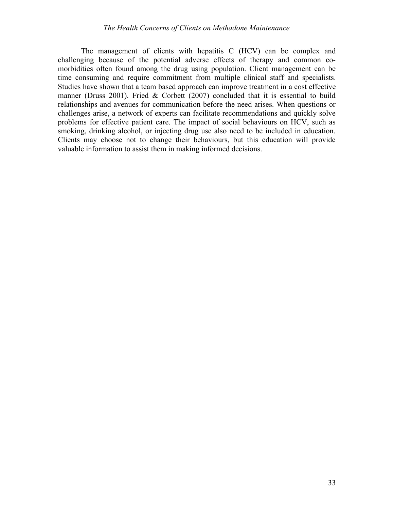The management of clients with hepatitis C (HCV) can be complex and challenging because of the potential adverse effects of therapy and common comorbidities often found among the drug using population. Client management can be time consuming and require commitment from multiple clinical staff and specialists. Studies have shown that a team based approach can improve treatment in a cost effective manner (Druss 2001). Fried & Corbett (2007) concluded that it is essential to build relationships and avenues for communication before the need arises. When questions or challenges arise, a network of experts can facilitate recommendations and quickly solve problems for effective patient care. The impact of social behaviours on HCV, such as smoking, drinking alcohol, or injecting drug use also need to be included in education. Clients may choose not to change their behaviours, but this education will provide valuable information to assist them in making informed decisions.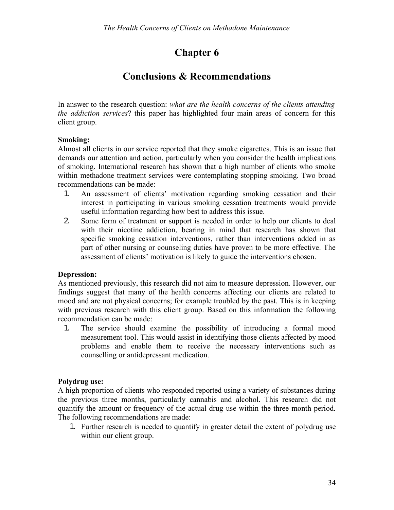## **Chapter 6**

## **Conclusions & Recommendations**

In answer to the research question: *what are the health concerns of the clients attending the addiction services*? this paper has highlighted four main areas of concern for this client group.

#### **Smoking:**

Almost all clients in our service reported that they smoke cigarettes. This is an issue that demands our attention and action, particularly when you consider the health implications of smoking. International research has shown that a high number of clients who smoke within methadone treatment services were contemplating stopping smoking. Two broad recommendations can be made:

- 1. An assessment of clients' motivation regarding smoking cessation and their interest in participating in various smoking cessation treatments would provide useful information regarding how best to address this issue.
- 2. Some form of treatment or support is needed in order to help our clients to deal with their nicotine addiction, bearing in mind that research has shown that specific smoking cessation interventions, rather than interventions added in as part of other nursing or counseling duties have proven to be more effective. The assessment of clients' motivation is likely to guide the interventions chosen.

#### **Depression:**

As mentioned previously, this research did not aim to measure depression. However, our findings suggest that many of the health concerns affecting our clients are related to mood and are not physical concerns; for example troubled by the past. This is in keeping with previous research with this client group. Based on this information the following recommendation can be made:

1. The service should examine the possibility of introducing a formal mood measurement tool. This would assist in identifying those clients affected by mood problems and enable them to receive the necessary interventions such as counselling or antidepressant medication.

#### **Polydrug use:**

A high proportion of clients who responded reported using a variety of substances during the previous three months, particularly cannabis and alcohol. This research did not quantify the amount or frequency of the actual drug use within the three month period. The following recommendations are made:

1. Further research is needed to quantify in greater detail the extent of polydrug use within our client group.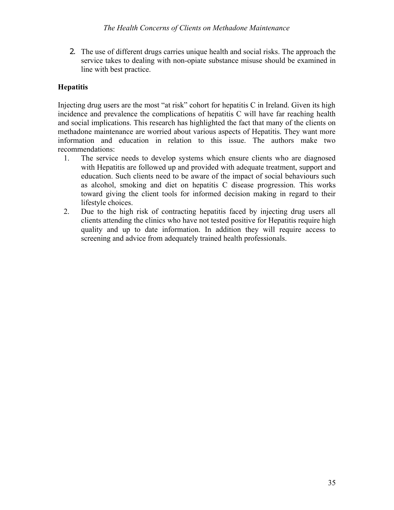2. The use of different drugs carries unique health and social risks. The approach the service takes to dealing with non-opiate substance misuse should be examined in line with best practice.

#### **Hepatitis**

Injecting drug users are the most "at risk" cohort for hepatitis C in Ireland. Given its high incidence and prevalence the complications of hepatitis C will have far reaching health and social implications. This research has highlighted the fact that many of the clients on methadone maintenance are worried about various aspects of Hepatitis. They want more information and education in relation to this issue. The authors make two recommendations:

- 1. The service needs to develop systems which ensure clients who are diagnosed with Hepatitis are followed up and provided with adequate treatment, support and education. Such clients need to be aware of the impact of social behaviours such as alcohol, smoking and diet on hepatitis C disease progression. This works toward giving the client tools for informed decision making in regard to their lifestyle choices.
- 2. Due to the high risk of contracting hepatitis faced by injecting drug users all clients attending the clinics who have not tested positive for Hepatitis require high quality and up to date information. In addition they will require access to screening and advice from adequately trained health professionals.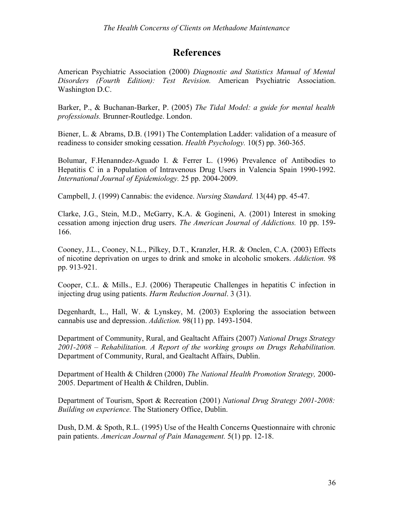## **References**

American Psychiatric Association (2000) *Diagnostic and Statistics Manual of Mental Disorders (Fourth Edition): Test Revision.* American Psychiatric Association. Washington D.C.

Barker, P., & Buchanan-Barker, P. (2005) *The Tidal Model: a guide for mental health professionals.* Brunner-Routledge. London.

Biener, L. & Abrams, D.B. (1991) The Contemplation Ladder: validation of a measure of readiness to consider smoking cessation. *Health Psychology.* 10(5) pp. 360-365.

Bolumar, F.Henanndez-Aguado I. & Ferrer L. (1996) Prevalence of Antibodies to Hepatitis C in a Population of Intravenous Drug Users in Valencia Spain 1990-1992. *International Journal of Epidemiology.* 25 pp. 2004-2009.

Campbell, J. (1999) Cannabis: the evidence. *Nursing Standard.* 13(44) pp. 45-47.

Clarke, J.G., Stein, M.D., McGarry, K.A. & Gogineni, A. (2001) Interest in smoking cessation among injection drug users. *The American Journal of Addictions.* 10 pp. 159- 166.

Cooney, J.L., Cooney, N.L., Pilkey, D.T., Kranzler, H.R. & Onclen, C.A. (2003) Effects of nicotine deprivation on urges to drink and smoke in alcoholic smokers. *Addiction.* 98 pp. 913-921.

Cooper, C.L. & Mills., E.J. (2006) Therapeutic Challenges in hepatitis C infection in injecting drug using patients. *Harm Reduction Journal*. 3 (31).

Degenhardt, L., Hall, W. & Lynskey, M. (2003) Exploring the association between cannabis use and depression. *Addiction.* 98(11) pp. 1493-1504.

Department of Community, Rural, and Gealtacht Affairs (2007) *National Drugs Strategy 2001-2008 – Rehabilitation. A Report of the working groups on Drugs Rehabilitation.* Department of Community, Rural, and Gealtacht Affairs, Dublin.

Department of Health & Children (2000) *The National Health Promotion Strategy,* 2000- 2005. Department of Health & Children, Dublin.

Department of Tourism, Sport & Recreation (2001) *National Drug Strategy 2001-2008: Building on experience.* The Stationery Office, Dublin.

Dush, D.M. & Spoth, R.L. (1995) Use of the Health Concerns Questionnaire with chronic pain patients. *American Journal of Pain Management.* 5(1) pp. 12-18.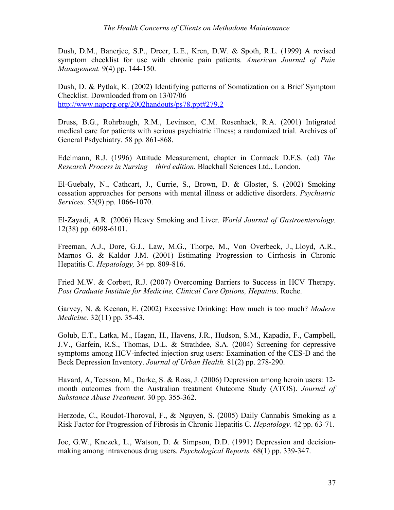Dush, D.M., Banerjee, S.P., Dreer, L.E., Kren, D.W. & Spoth, R.L. (1999) A revised symptom checklist for use with chronic pain patients. *American Journal of Pain Management.* 9(4) pp. 144-150.

Dush, D. & Pytlak, K. (2002) Identifying patterns of Somatization on a Brief Symptom Checklist. Downloaded from on 13/07/06 [http://www.napcrg.org/2002handouts/ps78.ppt#279,2](file:///J:/ytlak, K. (2002) Identifying patterns of Somatization on a Brief Symptom Checklist. Downloaded from on 13/07/06%00rink and smoke in alcoholic smokers. he client tools for informed decision making in regard to their lifestyle choices.ct that many of the clients on methadone maintenance are worried about various aspects of Hepatitis. They want more information and education in relation to this issue.information to assist them in making informed decisions.sential to build relationships and avenues fo)

Druss, B.G., Rohrbaugh, R.M., Levinson, C.M. Rosenhack, R.A. (2001) Intigrated medical care for patients with serious psychiatric illness; a randomized trial. Archives of General Psdychiatry. 58 pp. 861-868.

Edelmann, R.J. (1996) Attitude Measurement, chapter in Cormack D.F.S. (ed) *The Research Process in Nursing – third edition.* Blackhall Sciences Ltd., London.

El-Guebaly, N., Cathcart, J., Currie, S., Brown, D. & Gloster, S. (2002) Smoking cessation approaches for persons with mental illness or addictive disorders. *Psychiatric Services.* 53(9) pp. 1066-1070.

El-Zayadi, A.R. (2006) Heavy Smoking and Liver. *World Journal of Gastroenterology.* 12(38) pp. 6098-6101.

Freeman, A.J., Dore, G.J., Law, M.G., Thorpe, M., Von Overbeck, J., Lloyd, A.R., Marnos G. & Kaldor J.M. (2001) Estimating Progression to Cirrhosis in Chronic Hepatitis C. *Hepatology,* 34 pp. 809-816.

Fried M.W. & Corbett, R.J. (2007) Overcoming Barriers to Success in HCV Therapy. *Post Graduate Institute for Medicine, Clinical Care Options, Hepatitis*. Roche.

Garvey, N. & Keenan, E. (2002) Excessive Drinking: How much is too much? *Modern Medicine.* 32(11) pp. 35-43.

Golub, E.T., Latka, M., Hagan, H., Havens, J.R., Hudson, S.M., Kapadia, F., Campbell, J.V., Garfein, R.S., Thomas, D.L. & Strathdee, S.A. (2004) Screening for depressive symptoms among HCV-infected injection srug users: Examination of the CES-D and the Beck Depression Inventory. *Journal of Urban Health.* 81(2) pp. 278-290.

Havard, A, Teesson, M., Darke, S. & Ross, J. (2006) Depression among heroin users: 12 month outcomes from the Australian treatment Outcome Study (ATOS). *Journal of Substance Abuse Treatment.* 30 pp. 355-362.

Herzode, C., Roudot-Thoroval, F., & Nguyen, S. (2005) Daily Cannabis Smoking as a Risk Factor for Progression of Fibrosis in Chronic Hepatitis C. *Hepatology.* 42 pp. 63-71.

Joe, G.W., Knezek, L., Watson, D. & Simpson, D.D. (1991) Depression and decisionmaking among intravenous drug users. *Psychological Reports.* 68(1) pp. 339-347.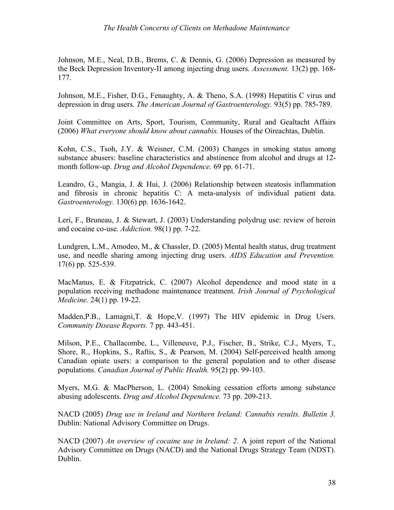Johnson, M.E., Neal, D.B., Brems, C. & Dennis, G. (2006) Depression as measured by the Beck Depression Inventory-II among injecting drug users. *Assessment.* 13(2) pp. 168- 177.

Johnson, M.E., Fisher, D.G., Fenaughty, A. & Theno, S.A. (1998) Hepatitis C virus and depression in drug users. *The American Journal of Gastroenterology.* 93(5) pp. 785-789.

Joint Committee on Arts, Sport, Tourism, Community, Rural and Gealtacht Affairs (2006) *What everyone should know about cannabis.* Houses of the Oireachtas, Dublin.

Kohn, C.S., Tsoh, J.Y. & Weisner, C.M. (2003) Changes in smoking status among substance abusers: baseline characteristics and abstinence from alcohol and drugs at 12 month follow-up. *Drug and Alcohol Dependence.* 69 pp. 61-71.

Leandro, G., Mangia, J. & Hui, J. (2006) Relationship between steatosis inflammation and fibrosis in chronic hepatitis C: A meta-analysis of individual patient data. *Gastroenterology.* 130(6) pp. 1636-1642.

Leri, F., Bruneau, J. & Stewart, J. (2003) Understanding polydrug use: review of heroin and cocaine co-use. *Addiction.* 98(1) pp. 7-22.

Lundgren, L.M., Amodeo, M., & Chassler, D. (2005) Mental health status, drug treatment use, and needle sharing among injecting drug users. *AIDS Education and Prevention.* 17(6) pp. 525-539.

MacManus, E. & Fitzpatrick, C. (2007) Alcohol dependence and mood state in a population receiving methadone maintenance treatment. *Irish Journal of Psychological Medicine.* 24(1) pp. 19-22.

Madden,P.B., Lamagni,T. & Hope,V. (1997) The HIV epidemic in Drug Users. *Community Disease Reports.* 7 pp. 443-451.

Milson, P.E., Challacombe, L., Villeneuve, P.J., Fischer, B., Strike, C.J., Myers, T., Shore, R., Hopkins, S., Raftis, S., & Pearson, M. (2004) Self-perceived health among Canadian opiate users: a comparison to the general population and to other disease populations. *Canadian Journal of Public Health.* 95(2) pp. 99-103.

Myers, M.G. & MacPherson, L. (2004) Smoking cessation efforts among substance abusing adolescents. *Drug and Alcohol Dependence.* 73 pp. 209-213.

NACD (2005) *Drug use in Ireland and Northern Ireland: Cannabis results. Bulletin 3.* Dublin: National Advisory Committee on Drugs.

NACD (2007) *An overview of cocaine use in Ireland: 2.* A joint report of the National Advisory Committee on Drugs (NACD) and the National Drugs Strategy Team (NDST). Dublin.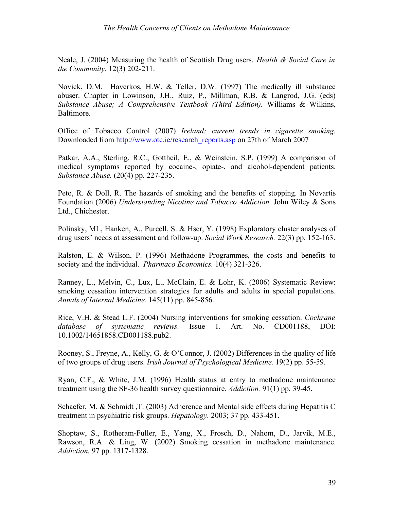Neale, J. (2004) Measuring the health of Scottish Drug users. *Health & Social Care in the Community.* 12(3) 202-211.

Novick, D.M. Haverkos, H.W. & Teller, D.W. (1997) The medically ill substance abuser. Chapter in Lowinson, J.H., Ruiz, P., Millman, R.B. & Langrod, J.G. (eds) *Substance Abuse; A Comprehensive Textbook (Third Edition).* Williams & Wilkins, Baltimore.

Office of Tobacco Control (2007) *Ireland: current trends in cigarette smoking.* Downloaded from [http://www.otc.ie/research\\_reports.asp](file:///J:/from trends in cigarette smoking.ird Edition).in Lowinson, J.H., Ruiz, P., Millman, R.B. & Langrod, J.G. (eds) .tment. nence from alcohol and drugs at 12-month follow-up. g HCV-infected injection srug users: Examination of the CES-D and the Beck Depression Inventory. one maintenance are worried about various aspects of Hepatitis. They want more information and education in relation to this issue.information to assist them in making informed decisions.sential to build relationships and avenues fo) on 27th of March 2007

Patkar, A.A., Sterling, R.C., Gottheil, E., & Weinstein, S.P. (1999) A comparison of medical symptoms reported by cocaine-, opiate-, and alcohol-dependent patients. *Substance Abuse.* (20(4) pp. 227-235.

Peto, R. & Doll, R. The hazards of smoking and the benefits of stopping. In Novartis Foundation (2006) *Understanding Nicotine and Tobacco Addiction.* John Wiley & Sons Ltd., Chichester.

Polinsky, ML, Hanken, A., Purcell, S. & Hser, Y. (1998) Exploratory cluster analyses of drug users' needs at assessment and follow-up. *Social Work Research.* 22(3) pp. 152-163.

Ralston, E. & Wilson, P. (1996) Methadone Programmes, the costs and benefits to society and the individual. *Pharmaco Economics.* 10(4) 321-326.

Ranney, L., Melvin, C., Lux, L., McClain, E. & Lohr, K. (2006) Systematic Review: smoking cessation intervention strategies for adults and adults in special populations. *Annals of Internal Medicine.* 145(11) pp. 845-856.

Rice, V.H. & Stead L.F. (2004) Nursing interventions for smoking cessation. *Cochrane database of systematic reviews.* Issue 1. Art. No. CD001188, DOI: 10.1002/14651858.CD001188.pub2.

Rooney, S., Freyne, A., Kelly, G. & O'Connor, J. (2002) Differences in the quality of life of two groups of drug users. *Irish Journal of Psychological Medicine.* 19(2) pp. 55-59.

Ryan, C.F., & White, J.M. (1996) Health status at entry to methadone maintenance treatment using the SF-36 health survey questionnaire. *Addiction.* 91(1) pp. 39-45.

Schaefer, M. & Schmidt ,T. (2003) Adherence and Mental side effects during Hepatitis C treatment in psychiatric risk groups. *Hepatology.* 2003; 37 pp. 433-451.

Shoptaw, S., Rotheram-Fuller, E., Yang, X., Frosch, D., Nahom, D., Jarvik, M.E., Rawson, R.A. & Ling, W. (2002) Smoking cessation in methadone maintenance. *Addiction.* 97 pp. 1317-1328.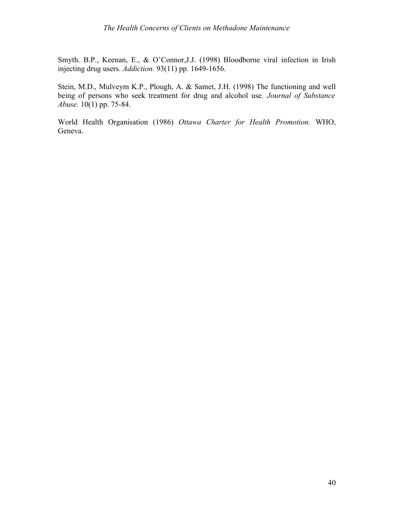Smyth. B.P., Keenan, E., & O'Connor,J.J. (1998) Bloodborne viral infection in Irish injecting drug users. *Addiction.* 93(11) pp. 1649-1656.

Stein, M.D., Mulveym K.P., Plough, A. & Samet, J.H. (1998) The functioning and well being of persons who seek treatment for drug and alcohol use. *Journal of Substance Abuse.* 10(1) pp. 75-84.

World Health Organisation (1986) *Ottawa Charter for Health Promotion.* WHO, Geneva.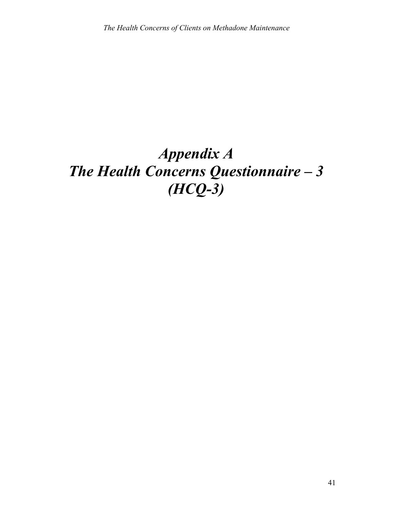## *Appendix A The Health Concerns Questionnaire – 3 (HCQ-3)*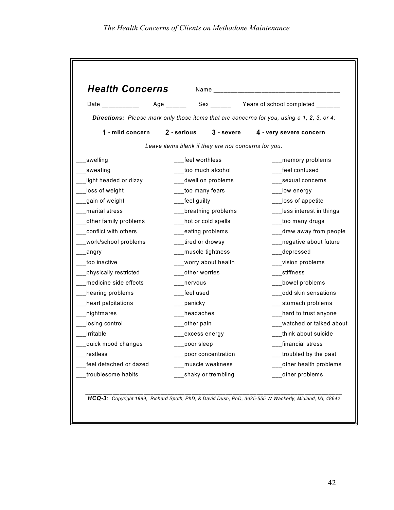| <b>Health Concerns</b>                                                                                                                                                                                                         |                                                     |                      |                                                                                            |
|--------------------------------------------------------------------------------------------------------------------------------------------------------------------------------------------------------------------------------|-----------------------------------------------------|----------------------|--------------------------------------------------------------------------------------------|
| Date the contract of the contract of the contract of the contract of the contract of the contract of the contract of the contract of the contract of the contract of the contract of the contract of the contract of the contr |                                                     |                      |                                                                                            |
|                                                                                                                                                                                                                                |                                                     |                      | Directions: Please mark only those items that are concerns for you, using a 1, 2, 3, or 4: |
| 1 - mild concern                                                                                                                                                                                                               | 2 - serious                                         | 3 - severe           | 4 - very severe concern                                                                    |
|                                                                                                                                                                                                                                | Leave items blank if they are not concerns for you. |                      |                                                                                            |
| swelling                                                                                                                                                                                                                       | feel worthless                                      |                      | memory problems                                                                            |
| sweating                                                                                                                                                                                                                       |                                                     | too much alcohol     | feel confused                                                                              |
| light headed or dizzy                                                                                                                                                                                                          |                                                     | __dwell on problems  | sexual concerns                                                                            |
| loss of weight                                                                                                                                                                                                                 | __too many fears                                    |                      | low energy                                                                                 |
| gain of weight                                                                                                                                                                                                                 | __feel guilty                                       |                      | loss of appetite                                                                           |
| marital stress                                                                                                                                                                                                                 |                                                     | breathing problems   | less interest in things                                                                    |
| other family problems                                                                                                                                                                                                          |                                                     | hot or cold spells   | too many drugs                                                                             |
| conflict with others                                                                                                                                                                                                           | __eating problems                                   |                      | draw away from people                                                                      |
| work/school problems                                                                                                                                                                                                           | _tired or drowsy                                    |                      | negative about future                                                                      |
| _angry                                                                                                                                                                                                                         | ___muscle tightness                                 |                      | depressed                                                                                  |
| too inactive                                                                                                                                                                                                                   |                                                     | __worry about health | vision problems                                                                            |
| physically restricted                                                                                                                                                                                                          | __other worries                                     |                      | stiffness                                                                                  |
| medicine side effects                                                                                                                                                                                                          | nervous                                             |                      | bowel problems                                                                             |
| hearing problems                                                                                                                                                                                                               | feel used                                           |                      | odd skin sensations                                                                        |
| heart palpitations                                                                                                                                                                                                             | _panicky                                            |                      | stomach problems                                                                           |
| nightmares                                                                                                                                                                                                                     | headaches                                           |                      | hard to trust anyone                                                                       |
| losing control                                                                                                                                                                                                                 | __other pain                                        |                      | watched or talked about                                                                    |
| irritable                                                                                                                                                                                                                      |                                                     | excess energy        | think about suicide                                                                        |
| quick mood changes                                                                                                                                                                                                             | poor sleep                                          |                      | financial stress                                                                           |
| restless                                                                                                                                                                                                                       |                                                     | poor concentration   | troubled by the past                                                                       |
| feel detached or dazed                                                                                                                                                                                                         |                                                     | muscle weakness      | other health problems                                                                      |
| troublesome habits                                                                                                                                                                                                             |                                                     | shaky or trembling   | other problems                                                                             |

*HCQ-3: Copyright 1999, Richard Spoth, PhD, & David Dush, PhD, 3625-555 W Wackerly, Midland, MI, 48642*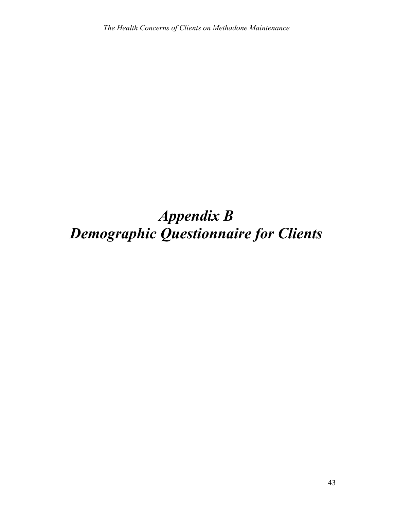## *Appendix B Demographic Questionnaire for Clients*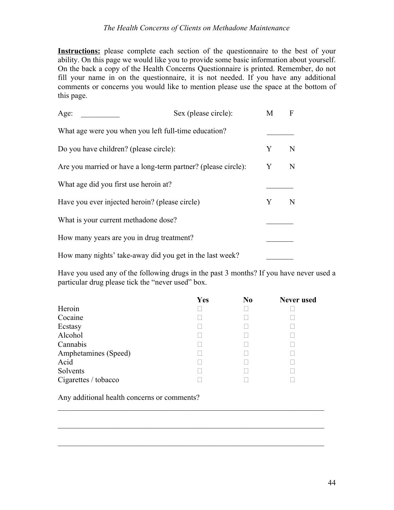**Instructions:** please complete each section of the questionnaire to the best of your ability. On this page we would like you to provide some basic information about yourself. On the back a copy of the Health Concerns Questionnaire is printed. Remember, do not fill your name in on the questionnaire, it is not needed. If you have any additional comments or concerns you would like to mention please use the space at the bottom of this page.

| Age:                                                          | Sex (please circle): | M | F |
|---------------------------------------------------------------|----------------------|---|---|
| What age were you when you left full-time education?          |                      |   |   |
| Do you have children? (please circle):                        |                      | Y | N |
| Are you married or have a long-term partner? (please circle): |                      | Y | N |
| What age did you first use heroin at?                         |                      |   |   |
| Have you ever injected heroin? (please circle)                |                      | Y | N |
| What is your current methadone dose?                          |                      |   |   |
| How many years are you in drug treatment?                     |                      |   |   |
| How many nights' take-away did you get in the last week?      |                      |   |   |

Have you used any of the following drugs in the past 3 months? If you have never used a particular drug please tick the "never used" box.

|                      | Yes | N <sub>0</sub> | <b>Never</b> used |
|----------------------|-----|----------------|-------------------|
| Heroin               |     |                |                   |
| Cocaine              |     |                |                   |
| Ecstasy              |     |                |                   |
| Alcohol              |     |                |                   |
| Cannabis             |     |                |                   |
| Amphetamines (Speed) |     |                |                   |
| Acid                 |     |                |                   |
| Solvents             |     |                |                   |
| Cigarettes / tobacco |     |                |                   |

 $\mathcal{L}_\mathcal{L} = \mathcal{L}_\mathcal{L} = \mathcal{L}_\mathcal{L} = \mathcal{L}_\mathcal{L} = \mathcal{L}_\mathcal{L} = \mathcal{L}_\mathcal{L} = \mathcal{L}_\mathcal{L} = \mathcal{L}_\mathcal{L} = \mathcal{L}_\mathcal{L} = \mathcal{L}_\mathcal{L} = \mathcal{L}_\mathcal{L} = \mathcal{L}_\mathcal{L} = \mathcal{L}_\mathcal{L} = \mathcal{L}_\mathcal{L} = \mathcal{L}_\mathcal{L} = \mathcal{L}_\mathcal{L} = \mathcal{L}_\mathcal{L}$ 

 $\mathcal{L}_\mathcal{L} = \mathcal{L}_\mathcal{L} = \mathcal{L}_\mathcal{L} = \mathcal{L}_\mathcal{L} = \mathcal{L}_\mathcal{L} = \mathcal{L}_\mathcal{L} = \mathcal{L}_\mathcal{L} = \mathcal{L}_\mathcal{L} = \mathcal{L}_\mathcal{L} = \mathcal{L}_\mathcal{L} = \mathcal{L}_\mathcal{L} = \mathcal{L}_\mathcal{L} = \mathcal{L}_\mathcal{L} = \mathcal{L}_\mathcal{L} = \mathcal{L}_\mathcal{L} = \mathcal{L}_\mathcal{L} = \mathcal{L}_\mathcal{L}$ 

 $\mathcal{L}_\mathcal{L} = \mathcal{L}_\mathcal{L} = \mathcal{L}_\mathcal{L} = \mathcal{L}_\mathcal{L} = \mathcal{L}_\mathcal{L} = \mathcal{L}_\mathcal{L} = \mathcal{L}_\mathcal{L} = \mathcal{L}_\mathcal{L} = \mathcal{L}_\mathcal{L} = \mathcal{L}_\mathcal{L} = \mathcal{L}_\mathcal{L} = \mathcal{L}_\mathcal{L} = \mathcal{L}_\mathcal{L} = \mathcal{L}_\mathcal{L} = \mathcal{L}_\mathcal{L} = \mathcal{L}_\mathcal{L} = \mathcal{L}_\mathcal{L}$ 

Any additional health concerns or comments?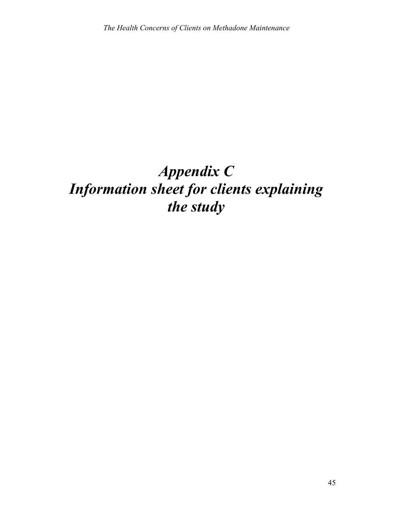## *Appendix C Information sheet for clients explaining the study*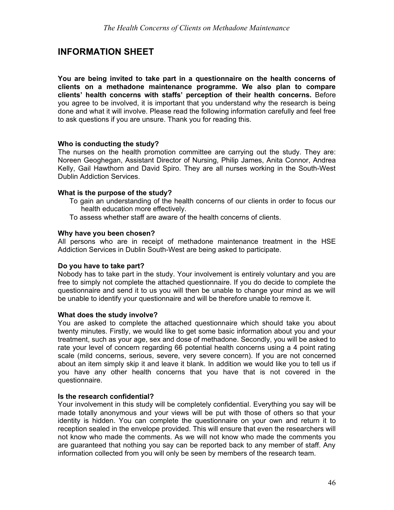### **INFORMATION SHEET**

**You are being invited to take part in a questionnaire on the health concerns of clients on a methadone maintenance programme. We also plan to compare clients' health concerns with staffs' perception of their health concerns.** Before you agree to be involved, it is important that you understand why the research is being done and what it will involve. Please read the following information carefully and feel free to ask questions if you are unsure. Thank you for reading this.

#### **Who is conducting the study?**

The nurses on the health promotion committee are carrying out the study. They are: Noreen Geoghegan, Assistant Director of Nursing, Philip James, Anita Connor, Andrea Kelly, Gail Hawthorn and David Spiro. They are all nurses working in the South-West Dublin Addiction Services.

#### **What is the purpose of the study?**

- To gain an understanding of the health concerns of our clients in order to focus our health education more effectively.
- To assess whether staff are aware of the health concerns of clients.

#### **Why have you been chosen?**

All persons who are in receipt of methadone maintenance treatment in the HSE Addiction Services in Dublin South-West are being asked to participate.

#### **Do you have to take part?**

Nobody has to take part in the study. Your involvement is entirely voluntary and you are free to simply not complete the attached questionnaire. If you do decide to complete the questionnaire and send it to us you will then be unable to change your mind as we will be unable to identify your questionnaire and will be therefore unable to remove it.

#### **What does the study involve?**

You are asked to complete the attached questionnaire which should take you about twenty minutes. Firstly, we would like to get some basic information about you and your treatment, such as your age, sex and dose of methadone. Secondly, you will be asked to rate your level of concern regarding 66 potential health concerns using a 4 point rating scale (mild concerns, serious, severe, very severe concern). If you are not concerned about an item simply skip it and leave it blank. In addition we would like you to tell us if you have any other health concerns that you have that is not covered in the questionnaire.

#### **Is the research confidential?**

Your involvement in this study will be completely confidential. Everything you say will be made totally anonymous and your views will be put with those of others so that your identity is hidden. You can complete the questionnaire on your own and return it to reception sealed in the envelope provided. This will ensure that even the researchers will not know who made the comments. As we will not know who made the comments you are guaranteed that nothing you say can be reported back to any member of staff. Any information collected from you will only be seen by members of the research team.